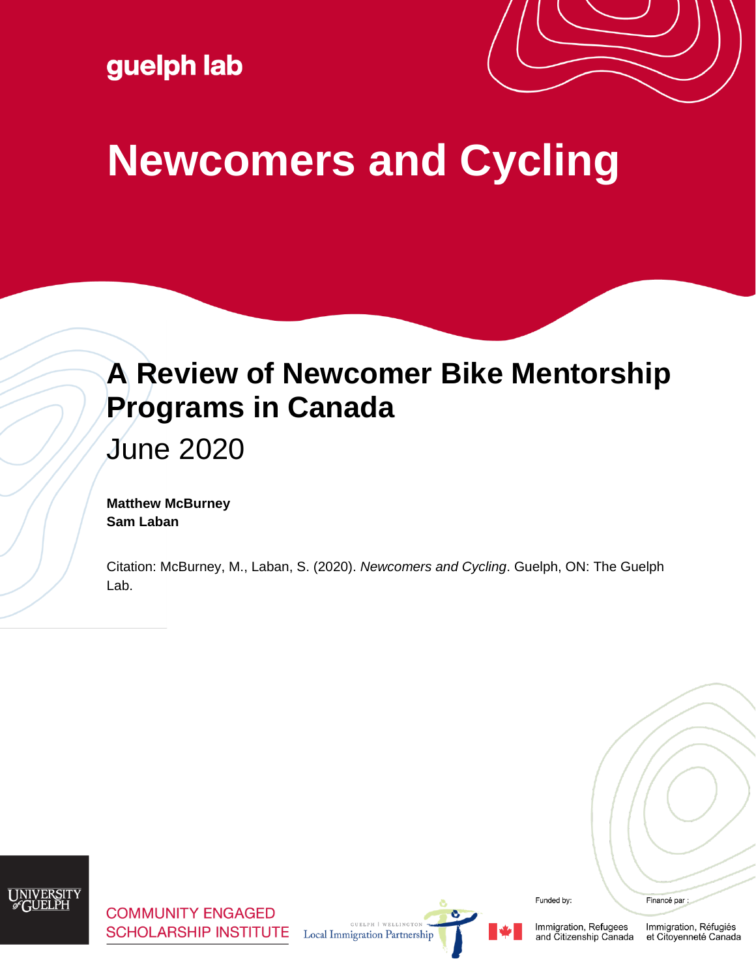guelph lab



# **Newcomers and Cycling**

## **A Review of Newcomer Bike Mentorship Programs in Canada**

June 2020

**Matthew McBurney Sam Laban**

Citation: McBurney, M., Laban, S. (2020). *Newcomers and Cycling*. Guelph, ON: The Guelph Lab.

**COMMUNITY ENGAGED SCHOLARSHIP INSTITUTE** 

**Local Immigration Partnership** 

Funded by:

Financé par :

Immigration, Refugees<br>and Citizenship Canada Immigration, Réfugiés et Citoyenneté Canada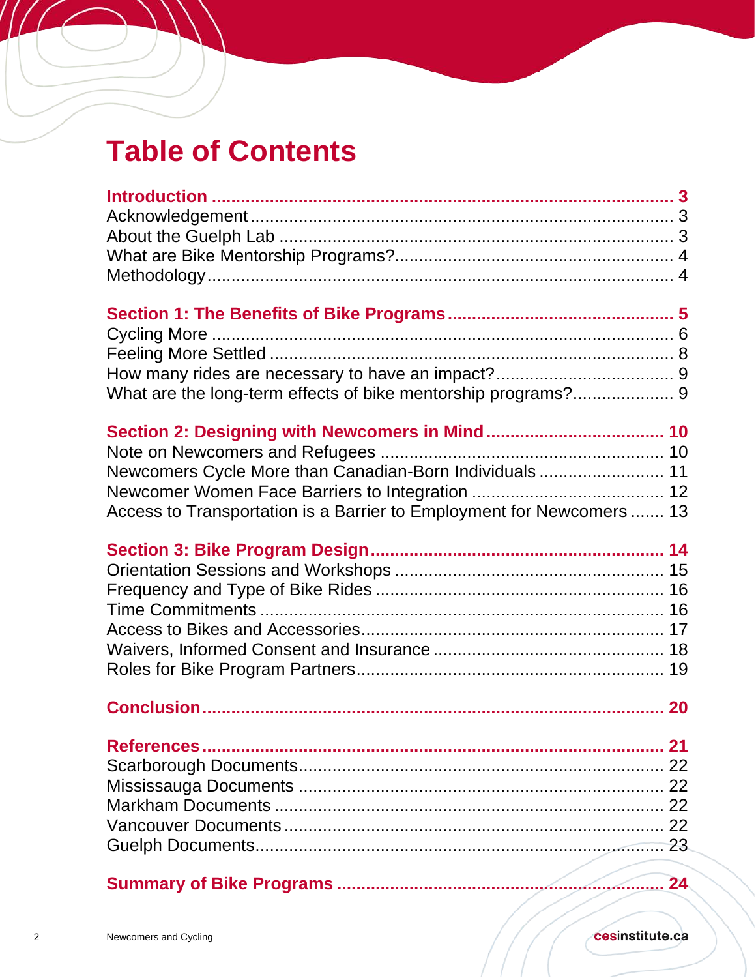## **Table of Contents**

//

| What are the long-term effects of bike mentorship programs? 9                                                                   |    |
|---------------------------------------------------------------------------------------------------------------------------------|----|
| Newcomers Cycle More than Canadian-Born Individuals 11<br>Access to Transportation is a Barrier to Employment for Newcomers  13 |    |
|                                                                                                                                 |    |
|                                                                                                                                 |    |
|                                                                                                                                 | 21 |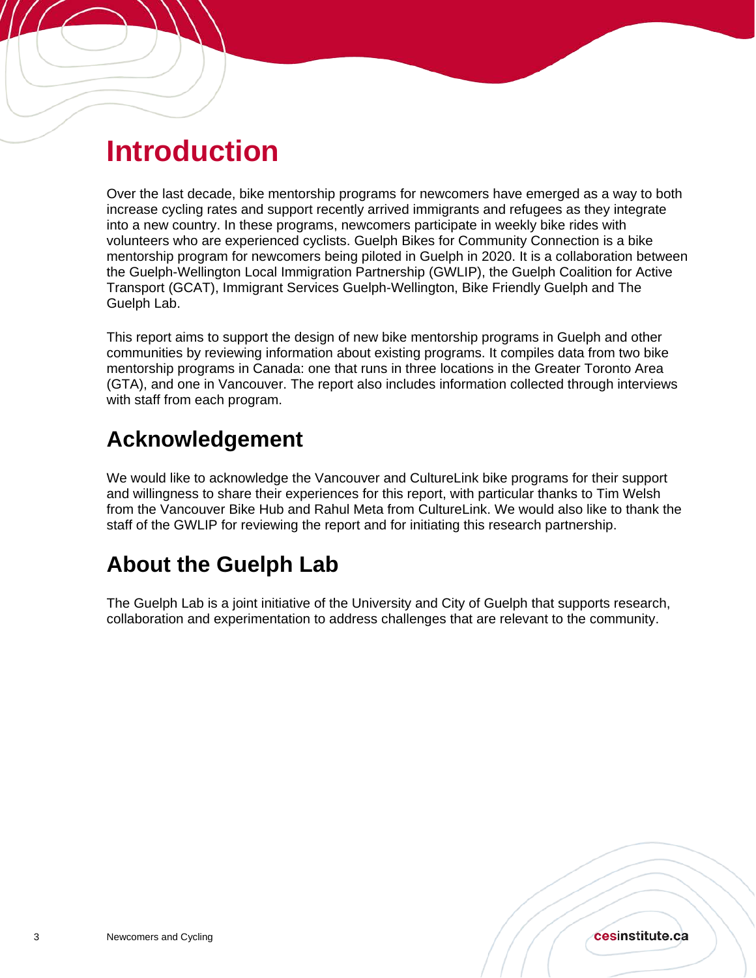## <span id="page-2-0"></span>**Introduction**

Í

Over the last decade, bike mentorship programs for newcomers have emerged as a way to both increase cycling rates and support recently arrived immigrants and refugees as they integrate into a new country. In these programs, newcomers participate in weekly bike rides with volunteers who are experienced cyclists. Guelph Bikes for Community Connection is a bike mentorship program for newcomers being piloted in Guelph in 2020. It is a collaboration between the Guelph-Wellington Local Immigration Partnership (GWLIP), the Guelph Coalition for Active Transport (GCAT), Immigrant Services Guelph-Wellington, Bike Friendly Guelph and The Guelph Lab.

This report aims to support the design of new bike mentorship programs in Guelph and other communities by reviewing information about existing programs. It compiles data from two bike mentorship programs in Canada: one that runs in three locations in the Greater Toronto Area (GTA), and one in Vancouver. The report also includes information collected through interviews with staff from each program.

## <span id="page-2-1"></span>**Acknowledgement**

We would like to acknowledge the Vancouver and CultureLink bike programs for their support and willingness to share their experiences for this report, with particular thanks to Tim Welsh from the Vancouver Bike Hub and Rahul Meta from CultureLink. We would also like to thank the staff of the GWLIP for reviewing the report and for initiating this research partnership.

## <span id="page-2-2"></span>**About the Guelph Lab**

The Guelph Lab is a joint initiative of the University and City of Guelph that supports research, collaboration and experimentation to address challenges that are relevant to the community.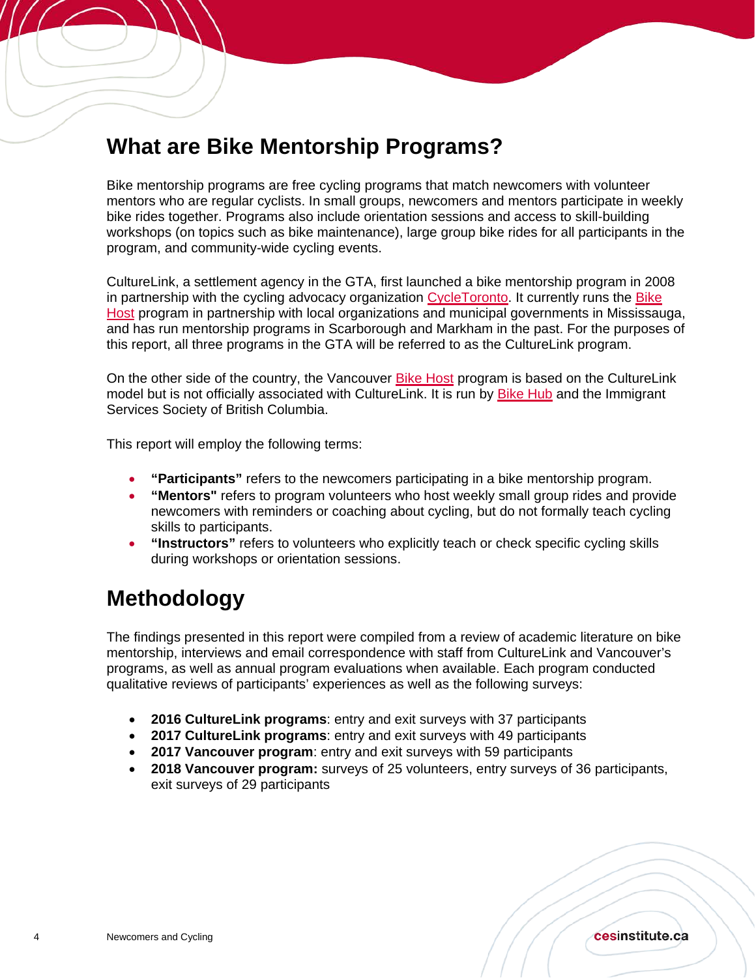## <span id="page-3-0"></span>**What are Bike Mentorship Programs?**

Bike mentorship programs are free cycling programs that match newcomers with volunteer mentors who are regular cyclists. In small groups, newcomers and mentors participate in weekly bike rides together. Programs also include orientation sessions and access to skill-building workshops (on topics such as bike maintenance), large group bike rides for all participants in the program, and community-wide cycling events.

CultureLink, a settlement agency in the GTA, first launched a bike mentorship program in 2008 in partnership with the cycling advocacy organization [CycleToronto.](https://www.cycleto.ca/) It currently runs the Bike [Host](https://www.culturelink.ca/services/health-and-recreation/bike-host/) program in partnership with local organizations and municipal governments in Mississauga, and has run mentorship programs in Scarborough and Markham in the past. For the purposes of this report, all three programs in the GTA will be referred to as the CultureLink program.

On the other side of the country, the Vancouver [Bike Host](https://bikehub.ca/bike-host) program is based on the CultureLink model but is not officially associated with CultureLink. It is run by [Bike Hub](https://bikehub.ca/) and the Immigrant Services Society of British Columbia.

This report will employ the following terms:

- **"Participants"** refers to the newcomers participating in a bike mentorship program.
- **"Mentors"** refers to program volunteers who host weekly small group rides and provide newcomers with reminders or coaching about cycling, but do not formally teach cycling skills to participants.
- **"Instructors"** refers to volunteers who explicitly teach or check specific cycling skills during workshops or orientation sessions.

## <span id="page-3-1"></span>**Methodology**

Í

The findings presented in this report were compiled from a review of academic literature on bike mentorship, interviews and email correspondence with staff from CultureLink and Vancouver's programs, as well as annual program evaluations when available. Each program conducted qualitative reviews of participants' experiences as well as the following surveys:

- **2016 CultureLink programs**: entry and exit surveys with 37 participants
- **2017 CultureLink programs**: entry and exit surveys with 49 participants
- **2017 Vancouver program**: entry and exit surveys with 59 participants
- **2018 Vancouver program:** surveys of 25 volunteers, entry surveys of 36 participants, exit surveys of 29 participants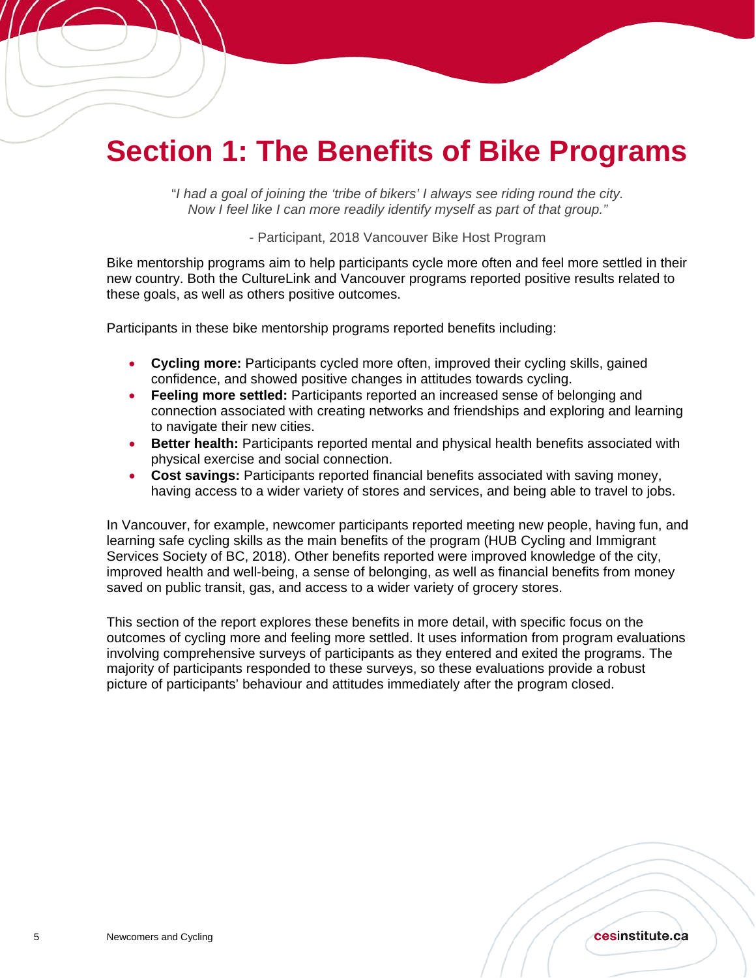## <span id="page-4-0"></span>**Section 1: The Benefits of Bike Programs**

"*I had a goal of joining the 'tribe of bikers' I always see riding round the city. Now I feel like I can more readily identify myself as part of that group."* 

- Participant, 2018 Vancouver Bike Host Program

Bike mentorship programs aim to help participants cycle more often and feel more settled in their new country. Both the CultureLink and Vancouver programs reported positive results related to these goals, as well as others positive outcomes.

Participants in these bike mentorship programs reported benefits including:

- **Cycling more:** Participants cycled more often, improved their cycling skills, gained confidence, and showed positive changes in attitudes towards cycling.
- **Feeling more settled:** Participants reported an increased sense of belonging and connection associated with creating networks and friendships and exploring and learning to navigate their new cities.
- **Better health:** Participants reported mental and physical health benefits associated with physical exercise and social connection.
- **Cost savings:** Participants reported financial benefits associated with saving money, having access to a wider variety of stores and services, and being able to travel to jobs.

In Vancouver, for example, newcomer participants reported meeting new people, having fun, and learning safe cycling skills as the main benefits of the program (HUB Cycling and Immigrant Services Society of BC, 2018). Other benefits reported were improved knowledge of the city, improved health and well-being, a sense of belonging, as well as financial benefits from money saved on public transit, gas, and access to a wider variety of grocery stores.

This section of the report explores these benefits in more detail, with specific focus on the outcomes of cycling more and feeling more settled. It uses information from program evaluations involving comprehensive surveys of participants as they entered and exited the programs. The majority of participants responded to these surveys, so these evaluations provide a robust picture of participants' behaviour and attitudes immediately after the program closed.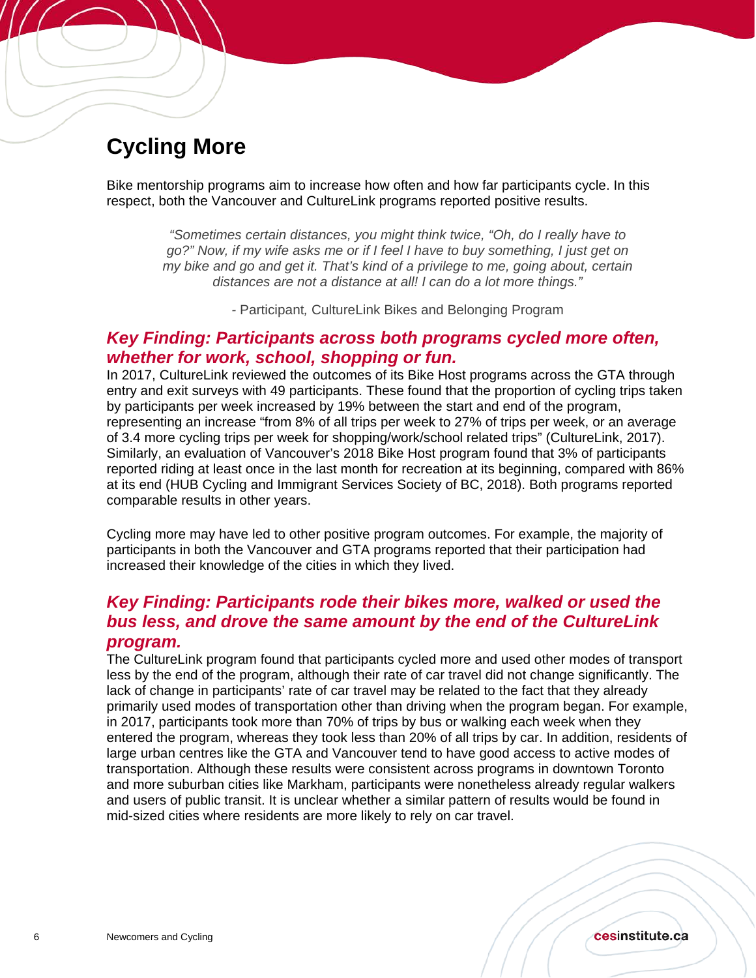## <span id="page-5-0"></span>**Cycling More**

Í

Bike mentorship programs aim to increase how often and how far participants cycle. In this respect, both the Vancouver and CultureLink programs reported positive results.

*"Sometimes certain distances, you might think twice, "Oh, do I really have to go?" Now, if my wife asks me or if I feel I have to buy something, I just get on my bike and go and get it. That's kind of a privilege to me, going about, certain distances are not a distance at all! I can do a lot more things."*

*-* Participant*,* CultureLink Bikes and Belonging Program

#### *Key Finding: Participants across both programs cycled more often, whether for work, school, shopping or fun.*

In 2017, CultureLink reviewed the outcomes of its Bike Host programs across the GTA through entry and exit surveys with 49 participants. These found that the proportion of cycling trips taken by participants per week increased by 19% between the start and end of the program, representing an increase "from 8% of all trips per week to 27% of trips per week, or an average of 3.4 more cycling trips per week for shopping/work/school related trips" (CultureLink, 2017). Similarly, an evaluation of Vancouver's 2018 Bike Host program found that 3% of participants reported riding at least once in the last month for recreation at its beginning, compared with 86% at its end (HUB Cycling and Immigrant Services Society of BC, 2018). Both programs reported comparable results in other years.

Cycling more may have led to other positive program outcomes. For example, the majority of participants in both the Vancouver and GTA programs reported that their participation had increased their knowledge of the cities in which they lived.

### *Key Finding: Participants rode their bikes more, walked or used the bus less, and drove the same amount by the end of the CultureLink program.*

The CultureLink program found that participants cycled more and used other modes of transport less by the end of the program, although their rate of car travel did not change significantly. The lack of change in participants' rate of car travel may be related to the fact that they already primarily used modes of transportation other than driving when the program began. For example, in 2017, participants took more than 70% of trips by bus or walking each week when they entered the program, whereas they took less than 20% of all trips by car. In addition, residents of large urban centres like the GTA and Vancouver tend to have good access to active modes of transportation. Although these results were consistent across programs in downtown Toronto and more suburban cities like Markham, participants were nonetheless already regular walkers and users of public transit. It is unclear whether a similar pattern of results would be found in mid-sized cities where residents are more likely to rely on car travel.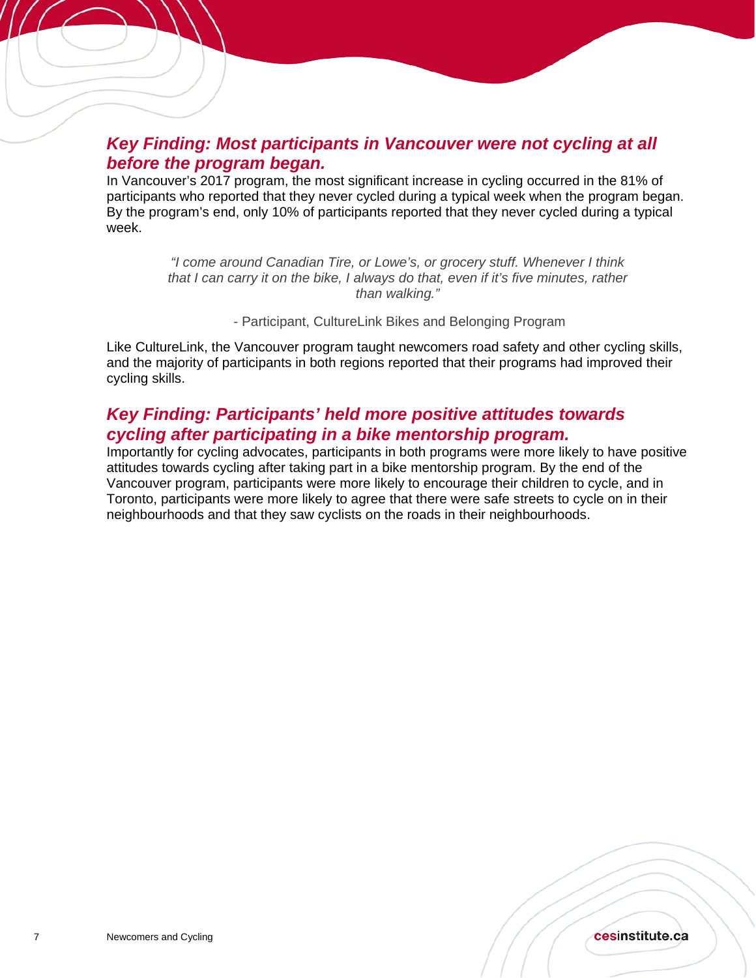### *Key Finding: Most participants in Vancouver were not cycling at all before the program began.*

In Vancouver's 2017 program, the most significant increase in cycling occurred in the 81% of participants who reported that they never cycled during a typical week when the program began. By the program's end, only 10% of participants reported that they never cycled during a typical week.

> *"I come around Canadian Tire, or Lowe's, or grocery stuff. Whenever I think that I can carry it on the bike, I always do that, even if it's five minutes, rather than walking."*

> > - Participant, CultureLink Bikes and Belonging Program

Like CultureLink, the Vancouver program taught newcomers road safety and other cycling skills, and the majority of participants in both regions reported that their programs had improved their cycling skills.

### *Key Finding: Participants' held more positive attitudes towards cycling after participating in a bike mentorship program.*

Importantly for cycling advocates, participants in both programs were more likely to have positive attitudes towards cycling after taking part in a bike mentorship program. By the end of the Vancouver program, participants were more likely to encourage their children to cycle, and in Toronto, participants were more likely to agree that there were safe streets to cycle on in their neighbourhoods and that they saw cyclists on the roads in their neighbourhoods.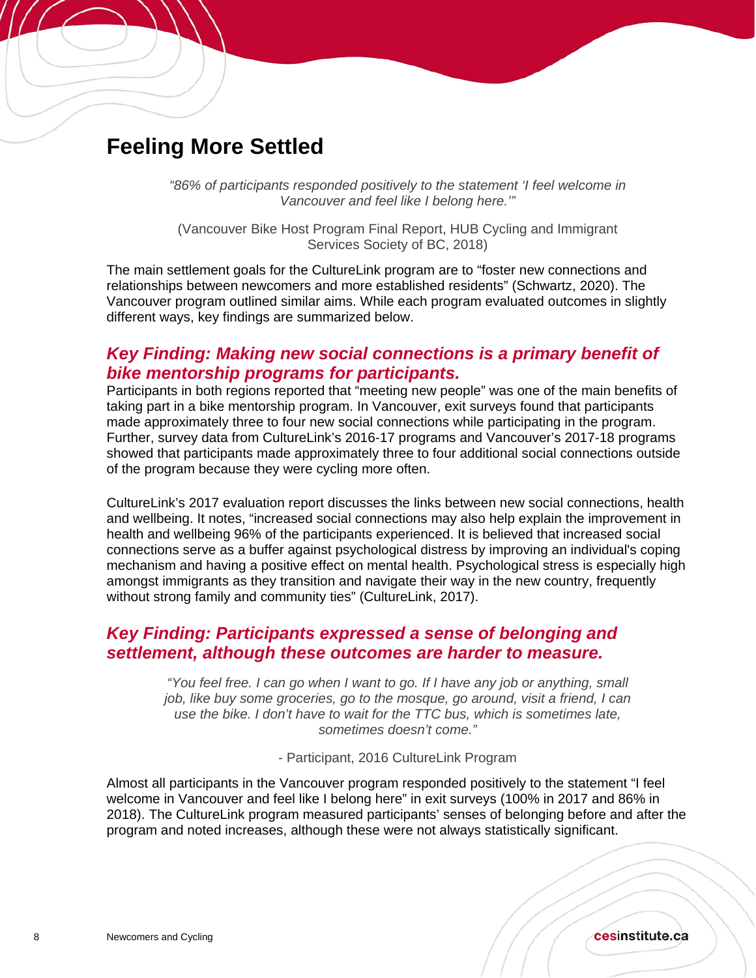## <span id="page-7-0"></span>**Feeling More Settled**

Í

*"86% of participants responded positively to the statement 'I feel welcome in Vancouver and feel like I belong here.'"* 

(Vancouver Bike Host Program Final Report, HUB Cycling and Immigrant Services Society of BC, 2018)

The main settlement goals for the CultureLink program are to "foster new connections and relationships between newcomers and more established residents" (Schwartz, 2020). The Vancouver program outlined similar aims. While each program evaluated outcomes in slightly different ways, key findings are summarized below.

#### *Key Finding: Making new social connections is a primary benefit of bike mentorship programs for participants.*

Participants in both regions reported that "meeting new people" was one of the main benefits of taking part in a bike mentorship program. In Vancouver, exit surveys found that participants made approximately three to four new social connections while participating in the program. Further, survey data from CultureLink's 2016-17 programs and Vancouver's 2017-18 programs showed that participants made approximately three to four additional social connections outside of the program because they were cycling more often.

CultureLink's 2017 evaluation report discusses the links between new social connections, health and wellbeing. It notes, "increased social connections may also help explain the improvement in health and wellbeing 96% of the participants experienced. It is believed that increased social connections serve as a buffer against psychological distress by improving an individual's coping mechanism and having a positive effect on mental health. Psychological stress is especially high amongst immigrants as they transition and navigate their way in the new country, frequently without strong family and community ties" (CultureLink, 2017).

#### *Key Finding: Participants expressed a sense of belonging and settlement, although these outcomes are harder to measure.*

*"You feel free. I can go when I want to go. If I have any job or anything, small job, like buy some groceries, go to the mosque, go around, visit a friend, I can use the bike. I don't have to wait for the TTC bus, which is sometimes late, sometimes doesn't come."* 

- Participant, 2016 CultureLink Program

Almost all participants in the Vancouver program responded positively to the statement "I feel welcome in Vancouver and feel like I belong here" in exit surveys (100% in 2017 and 86% in 2018). The CultureLink program measured participants' senses of belonging before and after the program and noted increases, although these were not always statistically significant.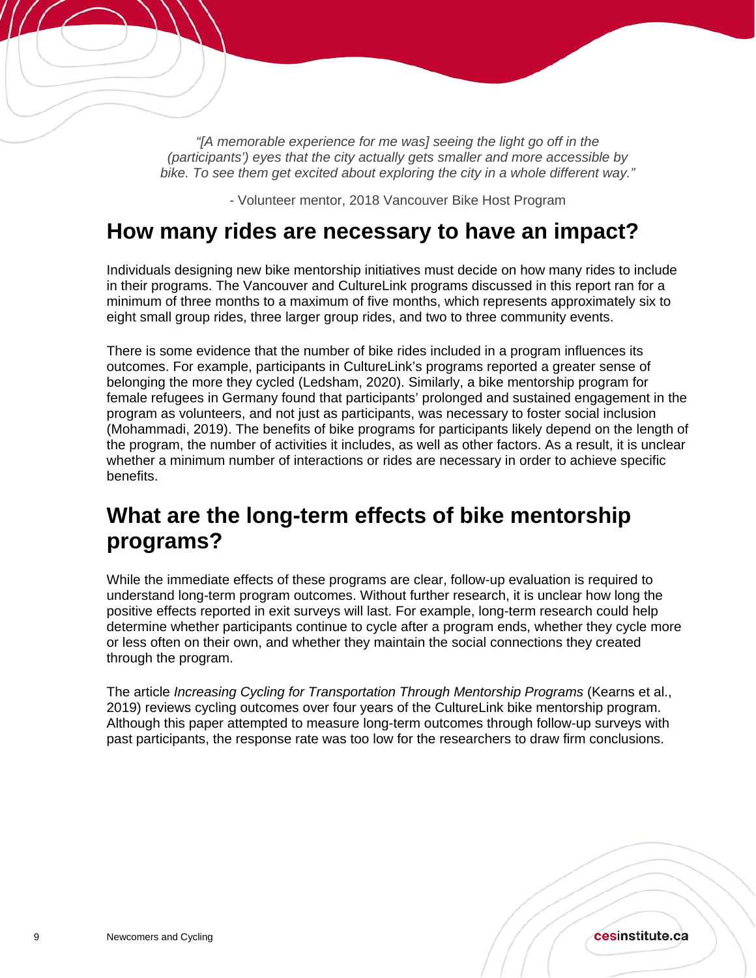*"[A memorable experience for me was] seeing the light go off in the (participants') eyes that the city actually gets smaller and more accessible by bike. To see them get excited about exploring the city in a whole different way."* 

*-* Volunteer mentor, 2018 Vancouver Bike Host Program

### <span id="page-8-0"></span>**How many rides are necessary to have an impact?**

Individuals designing new bike mentorship initiatives must decide on how many rides to include in their programs. The Vancouver and CultureLink programs discussed in this report ran for a minimum of three months to a maximum of five months, which represents approximately six to eight small group rides, three larger group rides, and two to three community events.

There is some evidence that the number of bike rides included in a program influences its outcomes. For example, participants in CultureLink's programs reported a greater sense of belonging the more they cycled (Ledsham, 2020). Similarly, a bike mentorship program for female refugees in Germany found that participants' prolonged and sustained engagement in the program as volunteers, and not just as participants, was necessary to foster social inclusion (Mohammadi, 2019). The benefits of bike programs for participants likely depend on the length of the program, the number of activities it includes, as well as other factors. As a result, it is unclear whether a minimum number of interactions or rides are necessary in order to achieve specific benefits.

### <span id="page-8-1"></span>**What are the long-term effects of bike mentorship programs?**

While the immediate effects of these programs are clear, follow-up evaluation is required to understand long-term program outcomes. Without further research, it is unclear how long the positive effects reported in exit surveys will last. For example, long-term research could help determine whether participants continue to cycle after a program ends, whether they cycle more or less often on their own, and whether they maintain the social connections they created through the program.

The article *Increasing Cycling for Transportation Through Mentorship Programs* (Kearns et al., 2019) reviews cycling outcomes over four years of the CultureLink bike mentorship program. Although this paper attempted to measure long-term outcomes through follow-up surveys with past participants, the response rate was too low for the researchers to draw firm conclusions.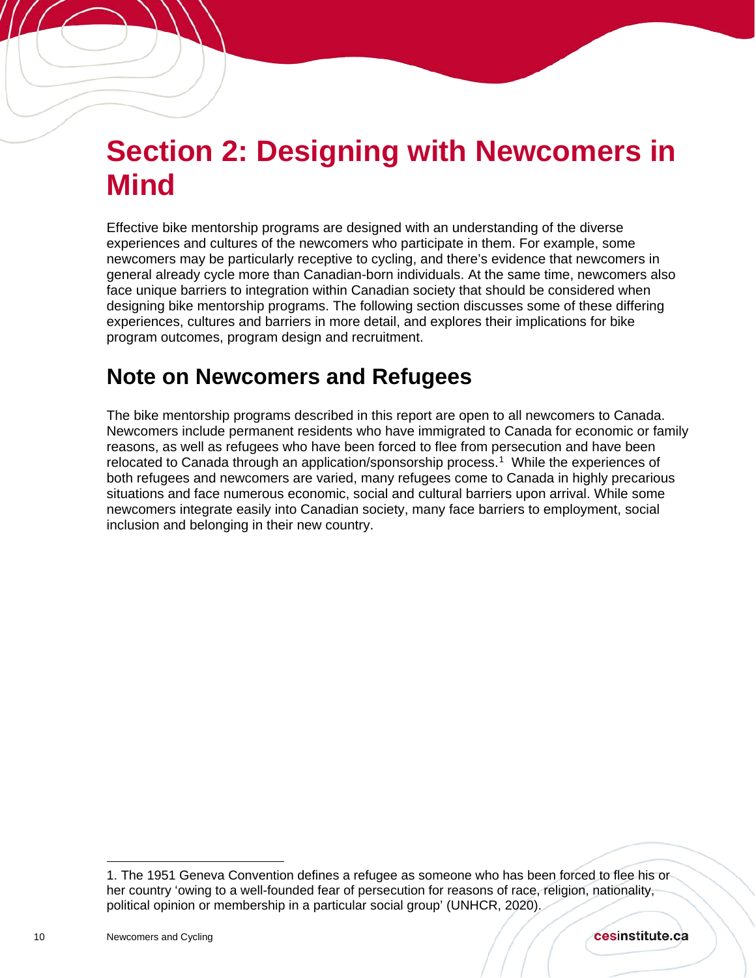## <span id="page-9-0"></span>**Section 2: Designing with Newcomers in Mind**

Effective bike mentorship programs are designed with an understanding of the diverse experiences and cultures of the newcomers who participate in them. For example, some newcomers may be particularly receptive to cycling, and there's evidence that newcomers in general already cycle more than Canadian-born individuals. At the same time, newcomers also face unique barriers to integration within Canadian society that should be considered when designing bike mentorship programs. The following section discusses some of these differing experiences, cultures and barriers in more detail, and explores their implications for bike program outcomes, program design and recruitment.

## <span id="page-9-1"></span>**Note on Newcomers and Refugees**

The bike mentorship programs described in this report are open to all newcomers to Canada. Newcomers include permanent residents who have immigrated to Canada for economic or family reasons, as well as refugees who have been forced to flee from persecution and have been relocated to Canada through an application/sponsorship process.[1](#page-9-2) While the experiences of both refugees and newcomers are varied, many refugees come to Canada in highly precarious situations and face numerous economic, social and cultural barriers upon arrival. While some newcomers integrate easily into Canadian society, many face barriers to employment, social inclusion and belonging in their new country.

<span id="page-9-2"></span> $\overline{a}$ 1. The 1951 Geneva Convention defines a refugee as someone who has been forced to flee his or her country 'owing to a well-founded fear of persecution for reasons of race, religion, nationality, political opinion or membership in a particular social group' (UNHCR, 2020).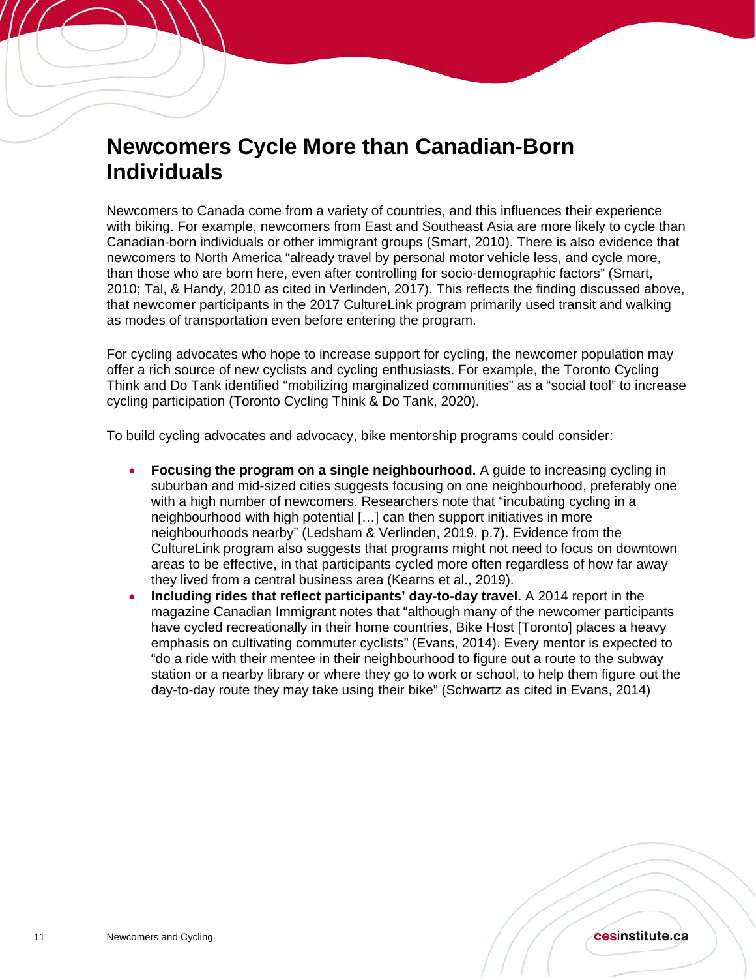## <span id="page-10-0"></span>**Newcomers Cycle More than Canadian-Born Individuals**

Newcomers to Canada come from a variety of countries, and this influences their experience with biking. For example, newcomers from East and Southeast Asia are more likely to cycle than Canadian-born individuals or other immigrant groups (Smart, 2010). There is also evidence that newcomers to North America "already travel by personal motor vehicle less, and cycle more, than those who are born here, even after controlling for socio-demographic factors" (Smart, 2010; Tal, & Handy, 2010 as cited in Verlinden, 2017). This reflects the finding discussed above, that newcomer participants in the 2017 CultureLink program primarily used transit and walking as modes of transportation even before entering the program.

For cycling advocates who hope to increase support for cycling, the newcomer population may offer a rich source of new cyclists and cycling enthusiasts. For example, the Toronto Cycling Think and Do Tank identified "mobilizing marginalized communities" as a "social tool" to increase cycling participation (Toronto Cycling Think & Do Tank, 2020).

To build cycling advocates and advocacy, bike mentorship programs could consider:

- **Focusing the program on a single neighbourhood.** A guide to increasing cycling in suburban and mid-sized cities suggests focusing on one neighbourhood, preferably one with a high number of newcomers. Researchers note that "incubating cycling in a neighbourhood with high potential […] can then support initiatives in more neighbourhoods nearby" (Ledsham & Verlinden, 2019, p.7). Evidence from the CultureLink program also suggests that programs might not need to focus on downtown areas to be effective, in that participants cycled more often regardless of how far away they lived from a central business area (Kearns et al., 2019).
- **Including rides that reflect participants' day-to-day travel.** A 2014 report in the magazine Canadian Immigrant notes that "although many of the newcomer participants have cycled recreationally in their home countries, Bike Host [Toronto] places a heavy emphasis on cultivating commuter cyclists" (Evans, 2014). Every mentor is expected to "do a ride with their mentee in their neighbourhood to figure out a route to the subway station or a nearby library or where they go to work or school, to help them figure out the day-to-day route they may take using their bike" (Schwartz as cited in Evans, 2014)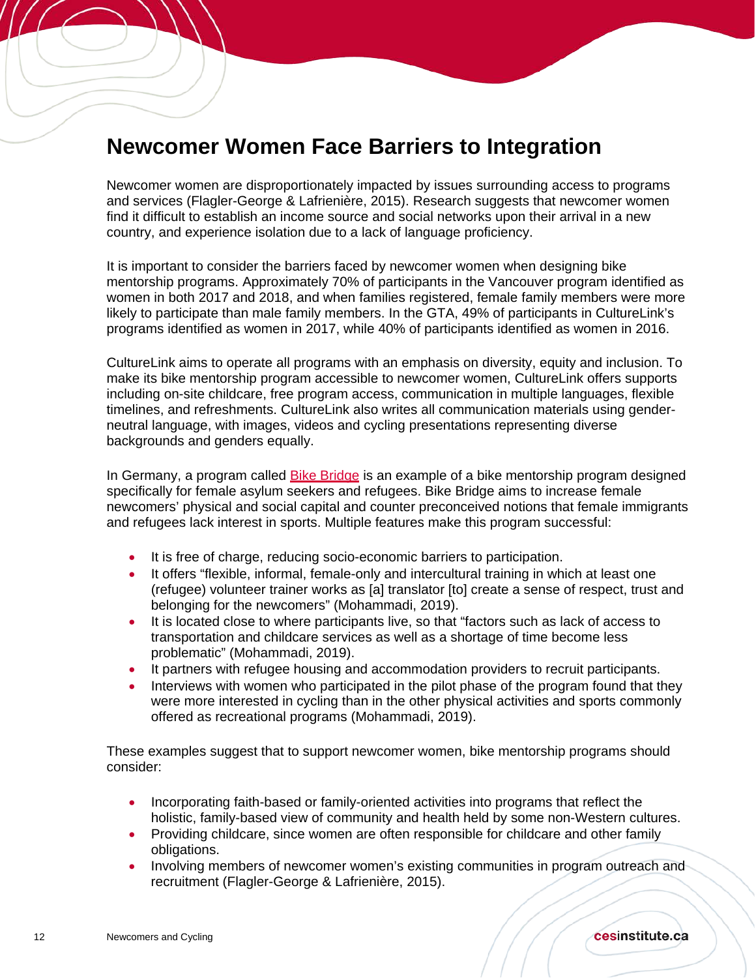## <span id="page-11-0"></span>**Newcomer Women Face Barriers to Integration**

Newcomer women are disproportionately impacted by issues surrounding access to programs and services (Flagler-George & Lafrienière, 2015). Research suggests that newcomer women find it difficult to establish an income source and social networks upon their arrival in a new country, and experience isolation due to a lack of language proficiency.

It is important to consider the barriers faced by newcomer women when designing bike mentorship programs. Approximately 70% of participants in the Vancouver program identified as women in both 2017 and 2018, and when families registered, female family members were more likely to participate than male family members. In the GTA, 49% of participants in CultureLink's programs identified as women in 2017, while 40% of participants identified as women in 2016.

CultureLink aims to operate all programs with an emphasis on diversity, equity and inclusion. To make its bike mentorship program accessible to newcomer women, CultureLink offers supports including on-site childcare, free program access, communication in multiple languages, flexible timelines, and refreshments. CultureLink also writes all communication materials using genderneutral language, with images, videos and cycling presentations representing diverse backgrounds and genders equally.

In Germany, a program called [Bike Bridge](https://www.bikebridge.org/en) is an example of a bike mentorship program designed specifically for female asylum seekers and refugees. Bike Bridge aims to increase female newcomers' physical and social capital and counter preconceived notions that female immigrants and refugees lack interest in sports. Multiple features make this program successful:

- It is free of charge, reducing socio-economic barriers to participation.
- It offers "flexible, informal, female-only and intercultural training in which at least one (refugee) volunteer trainer works as [a] translator [to] create a sense of respect, trust and belonging for the newcomers" (Mohammadi, 2019).
- It is located close to where participants live, so that "factors such as lack of access to transportation and childcare services as well as a shortage of time become less problematic" (Mohammadi, 2019).
- It partners with refugee housing and accommodation providers to recruit participants.
- Interviews with women who participated in the pilot phase of the program found that they were more interested in cycling than in the other physical activities and sports commonly offered as recreational programs (Mohammadi, 2019).

These examples suggest that to support newcomer women, bike mentorship programs should consider:

- Incorporating faith-based or family-oriented activities into programs that reflect the holistic, family-based view of community and health held by some non-Western cultures.
- Providing childcare, since women are often responsible for childcare and other family obligations.
- Involving members of newcomer women's existing communities in program outreach and recruitment (Flagler-George & Lafrienière, 2015).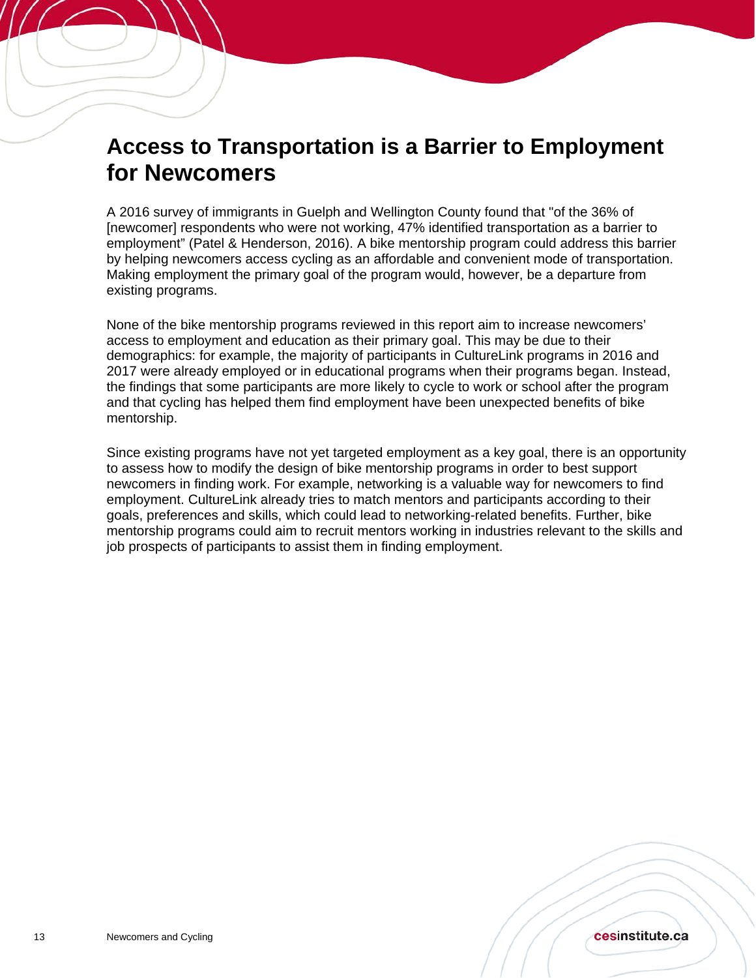## <span id="page-12-0"></span>**Access to Transportation is a Barrier to Employment for Newcomers**

A 2016 survey of immigrants in Guelph and Wellington County found that "of the 36% of [newcomer] respondents who were not working, 47% identified transportation as a barrier to employment" (Patel & Henderson, 2016). A bike mentorship program could address this barrier by helping newcomers access cycling as an affordable and convenient mode of transportation. Making employment the primary goal of the program would, however, be a departure from existing programs.

None of the bike mentorship programs reviewed in this report aim to increase newcomers' access to employment and education as their primary goal. This may be due to their demographics: for example, the majority of participants in CultureLink programs in 2016 and 2017 were already employed or in educational programs when their programs began. Instead, the findings that some participants are more likely to cycle to work or school after the program and that cycling has helped them find employment have been unexpected benefits of bike mentorship.

Since existing programs have not yet targeted employment as a key goal, there is an opportunity to assess how to modify the design of bike mentorship programs in order to best support newcomers in finding work. For example, networking is a valuable way for newcomers to find employment. CultureLink already tries to match mentors and participants according to their goals, preferences and skills, which could lead to networking-related benefits. Further, bike mentorship programs could aim to recruit mentors working in industries relevant to the skills and job prospects of participants to assist them in finding employment.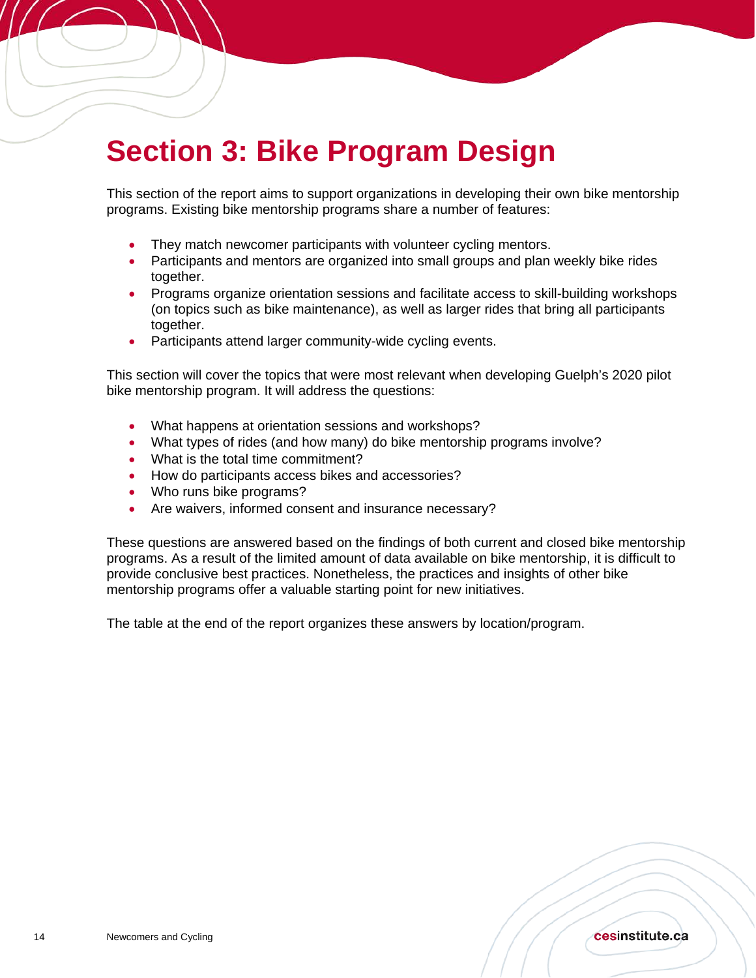## <span id="page-13-0"></span>**Section 3: Bike Program Design**

This section of the report aims to support organizations in developing their own bike mentorship programs. Existing bike mentorship programs share a number of features:

- They match newcomer participants with volunteer cycling mentors.
- Participants and mentors are organized into small groups and plan weekly bike rides together.
- Programs organize orientation sessions and facilitate access to skill-building workshops (on topics such as bike maintenance), as well as larger rides that bring all participants together.
- Participants attend larger community-wide cycling events.

This section will cover the topics that were most relevant when developing Guelph's 2020 pilot bike mentorship program. It will address the questions:

- What happens at orientation sessions and workshops?
- What types of rides (and how many) do bike mentorship programs involve?
- What is the total time commitment?
- How do participants access bikes and accessories?
- Who runs bike programs?

Í

• Are waivers, informed consent and insurance necessary?

These questions are answered based on the findings of both current and closed bike mentorship programs. As a result of the limited amount of data available on bike mentorship, it is difficult to provide conclusive best practices. Nonetheless, the practices and insights of other bike mentorship programs offer a valuable starting point for new initiatives.

The table at the end of the report organizes these answers by location/program.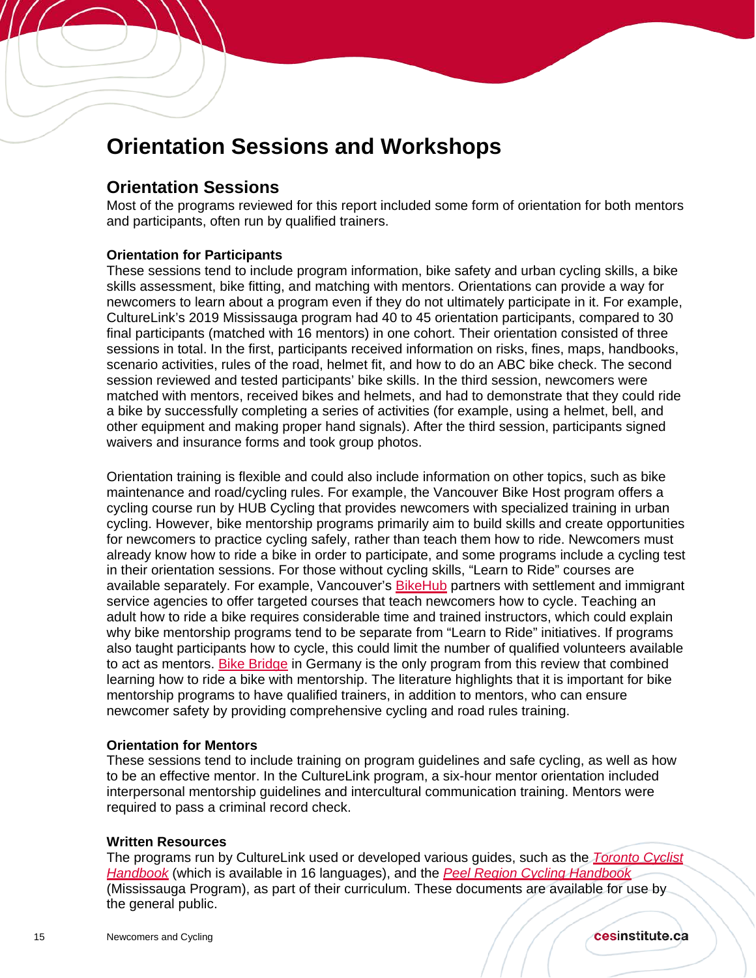### <span id="page-14-0"></span>**Orientation Sessions and Workshops**

#### **Orientation Sessions**

Í

Most of the programs reviewed for this report included some form of orientation for both mentors and participants, often run by qualified trainers.

#### **Orientation for Participants**

These sessions tend to include program information, bike safety and urban cycling skills, a bike skills assessment, bike fitting, and matching with mentors. Orientations can provide a way for newcomers to learn about a program even if they do not ultimately participate in it. For example, CultureLink's 2019 Mississauga program had 40 to 45 orientation participants, compared to 30 final participants (matched with 16 mentors) in one cohort. Their orientation consisted of three sessions in total. In the first, participants received information on risks, fines, maps, handbooks, scenario activities, rules of the road, helmet fit, and how to do an ABC bike check. The second session reviewed and tested participants' bike skills. In the third session, newcomers were matched with mentors, received bikes and helmets, and had to demonstrate that they could ride a bike by successfully completing a series of activities (for example, using a helmet, bell, and other equipment and making proper hand signals). After the third session, participants signed waivers and insurance forms and took group photos.

Orientation training is flexible and could also include information on other topics, such as bike maintenance and road/cycling rules. For example, the Vancouver Bike Host program offers a cycling course run by HUB Cycling that provides newcomers with specialized training in urban cycling. However, bike mentorship programs primarily aim to build skills and create opportunities for newcomers to practice cycling safely, rather than teach them how to ride. Newcomers must already know how to ride a bike in order to participate, and some programs include a cycling test in their orientation sessions. For those without cycling skills, "Learn to Ride" courses are available separately. For example, Vancouver's [BikeHub](https://bikehub.ca/bike-education/newcomer-programs) partners with settlement and immigrant service agencies to offer targeted courses that teach newcomers how to cycle. Teaching an adult how to ride a bike requires considerable time and trained instructors, which could explain why bike mentorship programs tend to be separate from "Learn to Ride" initiatives. If programs also taught participants how to cycle, this could limit the number of qualified volunteers available to act as mentors. [Bike Bridge](https://www.bikebridge.org/en) in Germany is the only program from this review that combined learning how to ride a bike with mentorship. The literature highlights that it is important for bike mentorship programs to have qualified trainers, in addition to mentors, who can ensure newcomer safety by providing comprehensive cycling and road rules training.

#### **Orientation for Mentors**

These sessions tend to include training on program guidelines and safe cycling, as well as how to be an effective mentor. In the CultureLink program, a six-hour mentor orientation included interpersonal mentorship guidelines and intercultural communication training. Mentors were required to pass a criminal record check.

#### **Written Resources**

The programs run by CultureLink used or developed various guides, such as the *[Toronto Cyclist](https://www.cycleto.ca/handbook)  [Handbook](https://www.cycleto.ca/handbook)* (which is available in 16 languages), and the *[Peel Region Cycling Handbook](http://walkandrollpeel.ca/cycling/peel-cyclists-handbook.pdf)* (Mississauga Program), as part of their curriculum. These documents are available for use by the general public.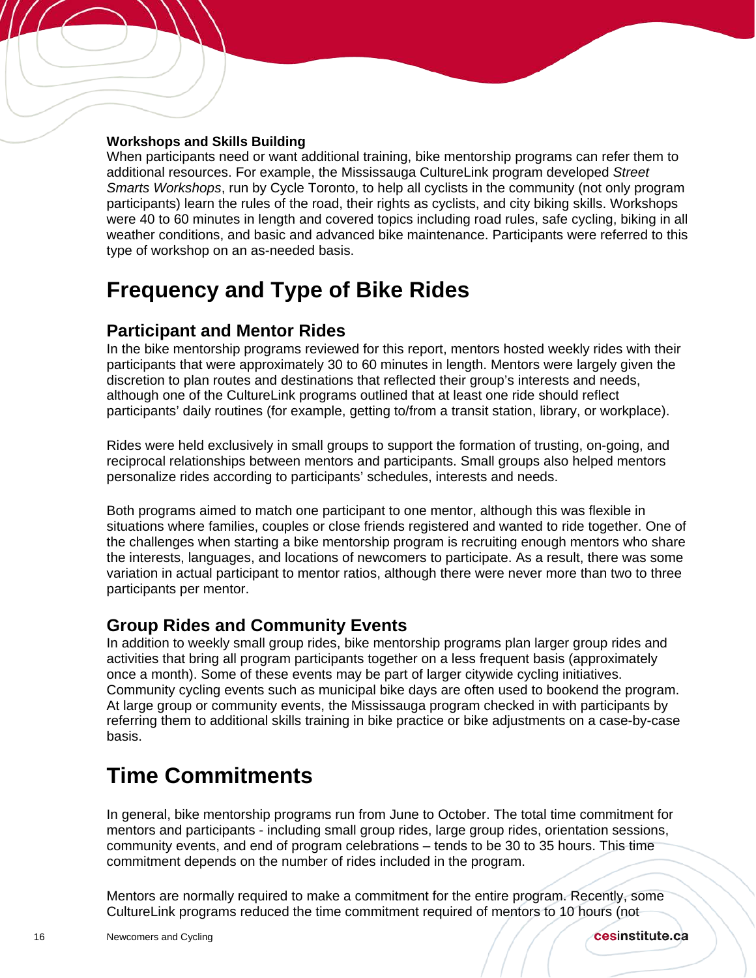#### **Workshops and Skills Building**

Í

When participants need or want additional training, bike mentorship programs can refer them to additional resources. For example, the Mississauga CultureLink program developed *Street Smarts Workshops*, run by Cycle Toronto, to help all cyclists in the community (not only program participants) learn the rules of the road, their rights as cyclists, and city biking skills. Workshops were 40 to 60 minutes in length and covered topics including road rules, safe cycling, biking in all weather conditions, and basic and advanced bike maintenance. Participants were referred to this type of workshop on an as-needed basis.

## <span id="page-15-0"></span>**Frequency and Type of Bike Rides**

#### **Participant and Mentor Rides**

In the bike mentorship programs reviewed for this report, mentors hosted weekly rides with their participants that were approximately 30 to 60 minutes in length. Mentors were largely given the discretion to plan routes and destinations that reflected their group's interests and needs, although one of the CultureLink programs outlined that at least one ride should reflect participants' daily routines (for example, getting to/from a transit station, library, or workplace).

Rides were held exclusively in small groups to support the formation of trusting, on-going, and reciprocal relationships between mentors and participants. Small groups also helped mentors personalize rides according to participants' schedules, interests and needs.

Both programs aimed to match one participant to one mentor, although this was flexible in situations where families, couples or close friends registered and wanted to ride together. One of the challenges when starting a bike mentorship program is recruiting enough mentors who share the interests, languages, and locations of newcomers to participate. As a result, there was some variation in actual participant to mentor ratios, although there were never more than two to three participants per mentor.

### **Group Rides and Community Events**

In addition to weekly small group rides, bike mentorship programs plan larger group rides and activities that bring all program participants together on a less frequent basis (approximately once a month). Some of these events may be part of larger citywide cycling initiatives. Community cycling events such as municipal bike days are often used to bookend the program. At large group or community events, the Mississauga program checked in with participants by referring them to additional skills training in bike practice or bike adjustments on a case-by-case basis.

## <span id="page-15-1"></span>**Time Commitments**

In general, bike mentorship programs run from June to October. The total time commitment for mentors and participants - including small group rides, large group rides, orientation sessions, community events, and end of program celebrations – tends to be 30 to 35 hours. This time commitment depends on the number of rides included in the program.

Mentors are normally required to make a commitment for the entire program. Recently, some CultureLink programs reduced the time commitment required of mentors to 10 hours (not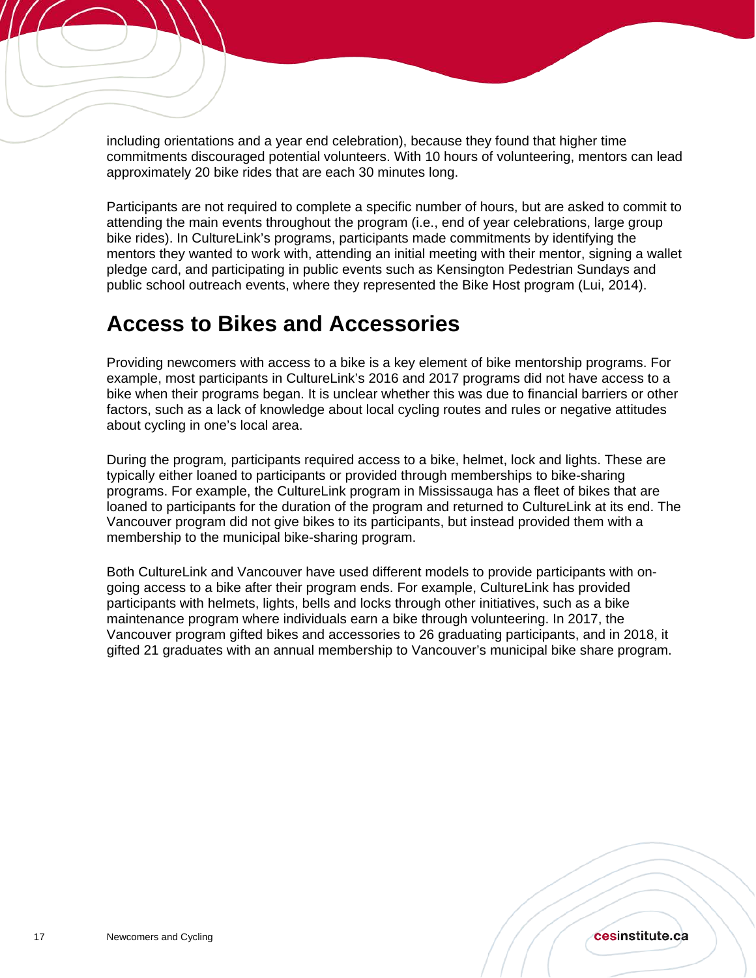including orientations and a year end celebration), because they found that higher time commitments discouraged potential volunteers. With 10 hours of volunteering, mentors can lead approximately 20 bike rides that are each 30 minutes long.

Participants are not required to complete a specific number of hours, but are asked to commit to attending the main events throughout the program (i.e., end of year celebrations, large group bike rides). In CultureLink's programs, participants made commitments by identifying the mentors they wanted to work with, attending an initial meeting with their mentor, signing a wallet pledge card, and participating in public events such as Kensington Pedestrian Sundays and public school outreach events, where they represented the Bike Host program (Lui, 2014).

## <span id="page-16-0"></span>**Access to Bikes and Accessories**

Providing newcomers with access to a bike is a key element of bike mentorship programs. For example, most participants in CultureLink's 2016 and 2017 programs did not have access to a bike when their programs began. It is unclear whether this was due to financial barriers or other factors, such as a lack of knowledge about local cycling routes and rules or negative attitudes about cycling in one's local area.

During the program*,* participants required access to a bike, helmet, lock and lights. These are typically either loaned to participants or provided through memberships to bike-sharing programs. For example, the CultureLink program in Mississauga has a fleet of bikes that are loaned to participants for the duration of the program and returned to CultureLink at its end. The Vancouver program did not give bikes to its participants, but instead provided them with a membership to the municipal bike-sharing program.

Both CultureLink and Vancouver have used different models to provide participants with ongoing access to a bike after their program ends. For example, CultureLink has provided participants with helmets, lights, bells and locks through other initiatives, such as a bike maintenance program where individuals earn a bike through volunteering. In 2017, the Vancouver program gifted bikes and accessories to 26 graduating participants, and in 2018, it gifted 21 graduates with an annual membership to Vancouver's municipal bike share program.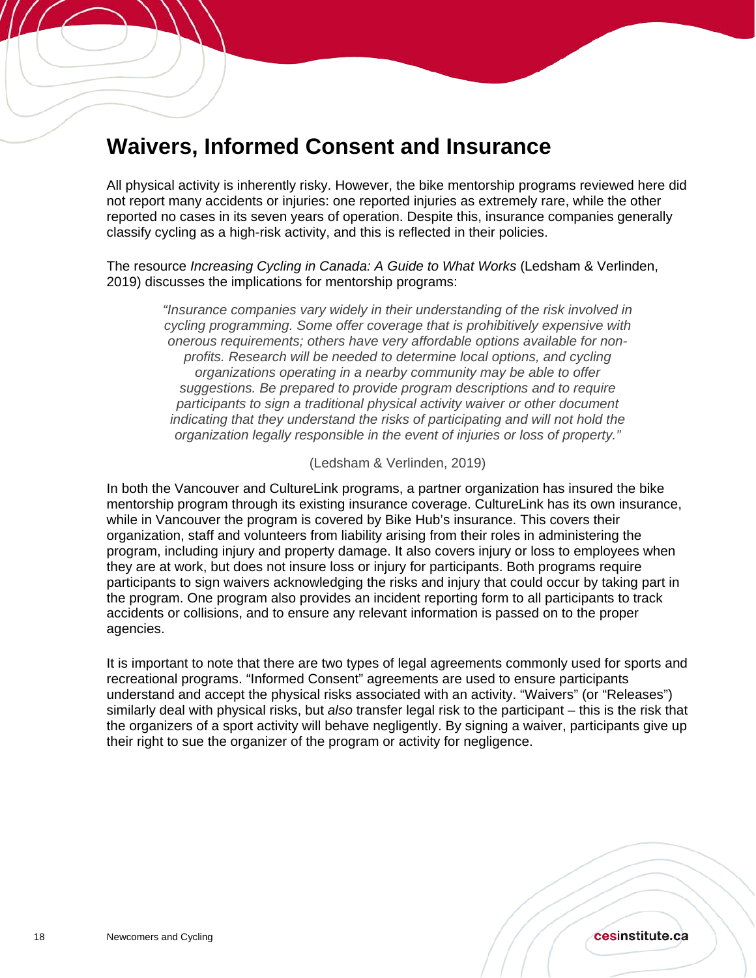## <span id="page-17-0"></span>**Waivers, Informed Consent and Insurance**

All physical activity is inherently risky. However, the bike mentorship programs reviewed here did not report many accidents or injuries: one reported injuries as extremely rare, while the other reported no cases in its seven years of operation. Despite this, insurance companies generally classify cycling as a high-risk activity, and this is reflected in their policies.

The resource *Increasing Cycling in Canada: A Guide to What Works* (Ledsham & Verlinden, 2019) discusses the implications for mentorship programs:

> *"Insurance companies vary widely in their understanding of the risk involved in cycling programming. Some offer coverage that is prohibitively expensive with onerous requirements; others have very affordable options available for nonprofits. Research will be needed to determine local options, and cycling organizations operating in a nearby community may be able to offer suggestions. Be prepared to provide program descriptions and to require participants to sign a traditional physical activity waiver or other document indicating that they understand the risks of participating and will not hold the organization legally responsible in the event of injuries or loss of property."*

> > [\(Ledsham & Verlinden, 2019\)](https://www.tcat.ca/wp-content/uploads/2019/01/Building-Bike-Culture-Beyond-Downtown-Report-Web-Version-compressed.pdf)

In both the Vancouver and CultureLink programs, a partner organization has insured the bike mentorship program through its existing insurance coverage. CultureLink has its own insurance, while in Vancouver the program is covered by Bike Hub's insurance. This covers their organization, staff and volunteers from liability arising from their roles in administering the program, including injury and property damage. It also covers injury or loss to employees when they are at work, but does not insure loss or injury for participants. Both programs require participants to sign waivers acknowledging the risks and injury that could occur by taking part in the program. One program also provides an incident reporting form to all participants to track accidents or collisions, and to ensure any relevant information is passed on to the proper agencies.

It is important to note that there are two types of legal agreements commonly used for sports and recreational programs. "Informed Consent" agreements are used to ensure participants understand and accept the physical risks associated with an activity. "Waivers" (or "Releases") similarly deal with physical risks, but *also* transfer legal risk to the participant – this is the risk that the organizers of a sport activity will behave negligently. By signing a waiver, participants give up their right to sue the organizer of the program or activity for negligence.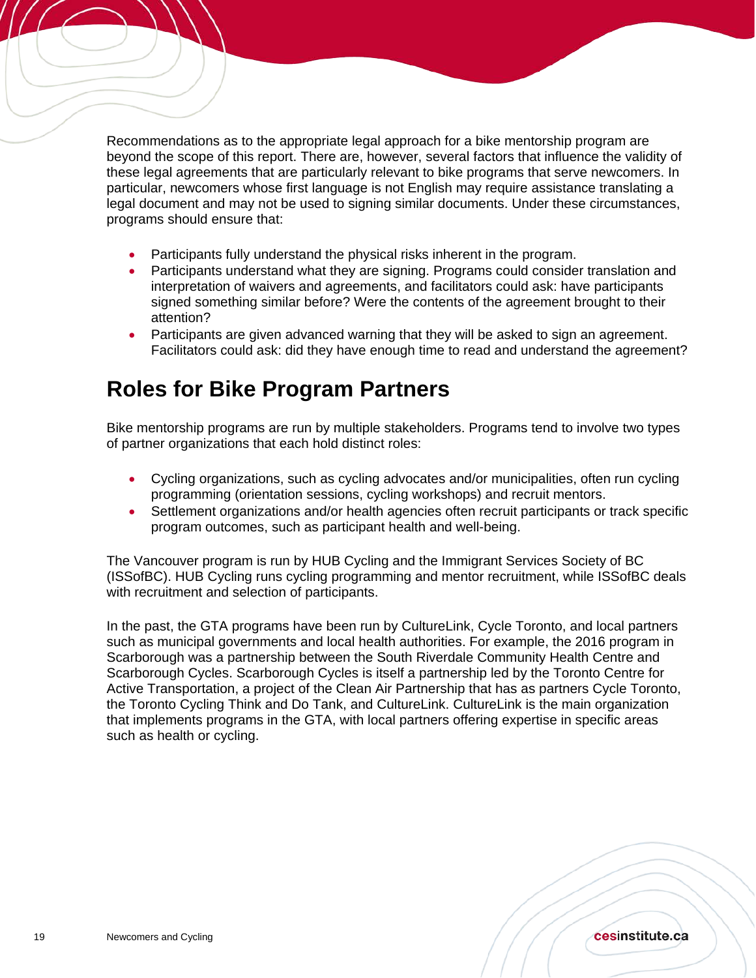Recommendations as to the appropriate legal approach for a bike mentorship program are beyond the scope of this report. There are, however, several factors that influence the validity of these legal agreements that are particularly relevant to bike programs that serve newcomers. In particular, newcomers whose first language is not English may require assistance translating a legal document and may not be used to signing similar documents. Under these circumstances, programs should ensure that:

- Participants fully understand the physical risks inherent in the program.
- Participants understand what they are signing. Programs could consider translation and interpretation of waivers and agreements, and facilitators could ask: have participants signed something similar before? Were the contents of the agreement brought to their attention?
- Participants are given advanced warning that they will be asked to sign an agreement. Facilitators could ask: did they have enough time to read and understand the agreement?

## <span id="page-18-0"></span>**Roles for Bike Program Partners**

Bike mentorship programs are run by multiple stakeholders. Programs tend to involve two types of partner organizations that each hold distinct roles:

- Cycling organizations, such as cycling advocates and/or municipalities, often run cycling programming (orientation sessions, cycling workshops) and recruit mentors.
- Settlement organizations and/or health agencies often recruit participants or track specific program outcomes, such as participant health and well-being.

The Vancouver program is run by HUB Cycling and the Immigrant Services Society of BC (ISSofBC). HUB Cycling runs cycling programming and mentor recruitment, while ISSofBC deals with recruitment and selection of participants.

In the past, the GTA programs have been run by CultureLink, Cycle Toronto, and local partners such as municipal governments and local health authorities. For example, the 2016 program in Scarborough was a partnership between the South Riverdale Community Health Centre and Scarborough Cycles. Scarborough Cycles is itself a partnership led by the Toronto Centre for Active Transportation, a project of the Clean Air Partnership that has as partners Cycle Toronto, the Toronto Cycling Think and Do Tank, and CultureLink. CultureLink is the main organization that implements programs in the GTA, with local partners offering expertise in specific areas such as health or cycling.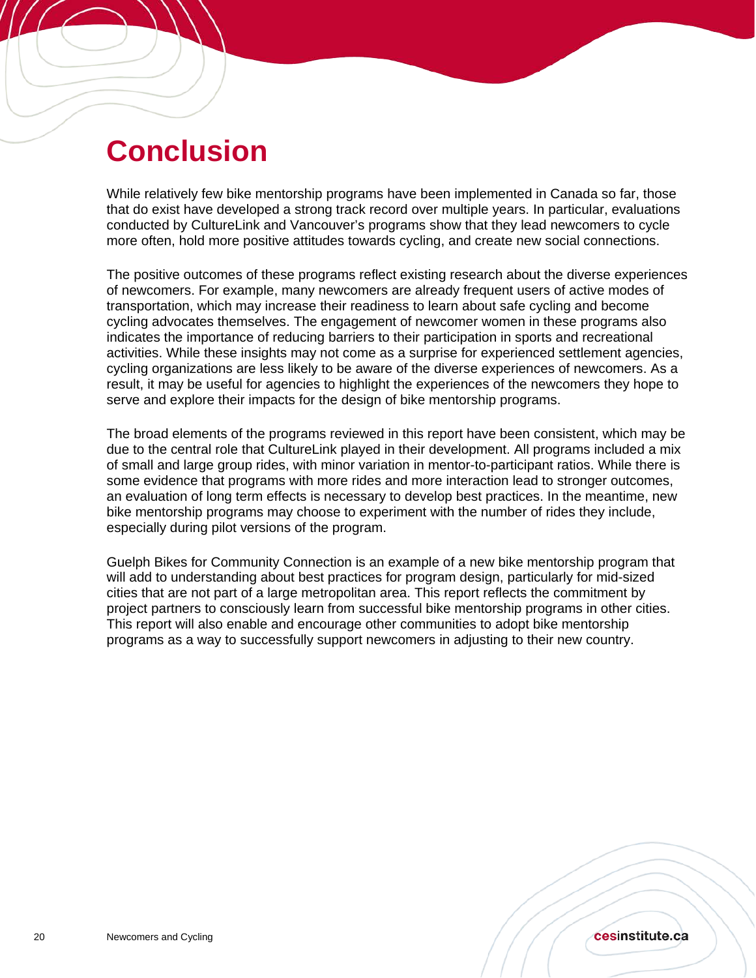## <span id="page-19-0"></span>**Conclusion**

Í

While relatively few bike mentorship programs have been implemented in Canada so far, those that do exist have developed a strong track record over multiple years. In particular, evaluations conducted by CultureLink and Vancouver's programs show that they lead newcomers to cycle more often, hold more positive attitudes towards cycling, and create new social connections.

The positive outcomes of these programs reflect existing research about the diverse experiences of newcomers. For example, many newcomers are already frequent users of active modes of transportation, which may increase their readiness to learn about safe cycling and become cycling advocates themselves. The engagement of newcomer women in these programs also indicates the importance of reducing barriers to their participation in sports and recreational activities. While these insights may not come as a surprise for experienced settlement agencies, cycling organizations are less likely to be aware of the diverse experiences of newcomers. As a result, it may be useful for agencies to highlight the experiences of the newcomers they hope to serve and explore their impacts for the design of bike mentorship programs.

The broad elements of the programs reviewed in this report have been consistent, which may be due to the central role that CultureLink played in their development. All programs included a mix of small and large group rides, with minor variation in mentor-to-participant ratios. While there is some evidence that programs with more rides and more interaction lead to stronger outcomes, an evaluation of long term effects is necessary to develop best practices. In the meantime, new bike mentorship programs may choose to experiment with the number of rides they include, especially during pilot versions of the program.

Guelph Bikes for Community Connection is an example of a new bike mentorship program that will add to understanding about best practices for program design, particularly for mid-sized cities that are not part of a large metropolitan area. This report reflects the commitment by project partners to consciously learn from successful bike mentorship programs in other cities. This report will also enable and encourage other communities to adopt bike mentorship programs as a way to successfully support newcomers in adjusting to their new country.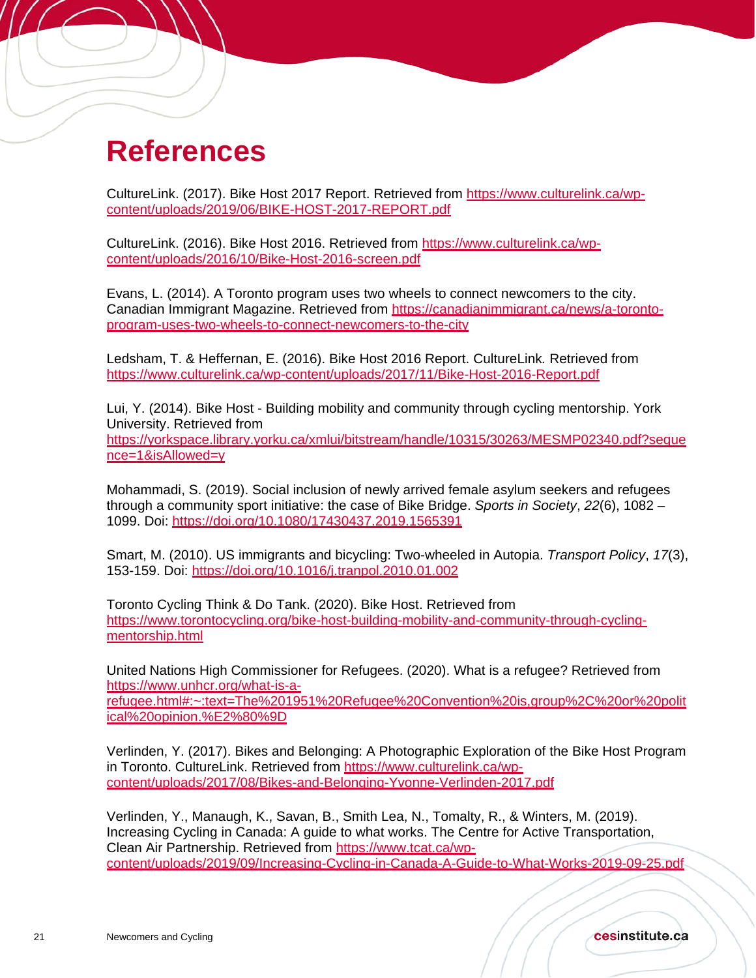## <span id="page-20-0"></span>**References**

Í

CultureLink. (2017). Bike Host 2017 Report. Retrieved from [https://www.culturelink.ca/wp](https://www.culturelink.ca/wp-content/uploads/2019/06/BIKE-HOST-2017-REPORT.pdf)[content/uploads/2019/06/BIKE-HOST-2017-REPORT.pdf](https://www.culturelink.ca/wp-content/uploads/2019/06/BIKE-HOST-2017-REPORT.pdf)

CultureLink. (2016). Bike Host 2016. Retrieved from [https://www.culturelink.ca/wp](https://www.culturelink.ca/wp-content/uploads/2016/10/Bike-Host-2016-screen.pdf)[content/uploads/2016/10/Bike-Host-2016-screen.pdf](https://www.culturelink.ca/wp-content/uploads/2016/10/Bike-Host-2016-screen.pdf)

Evans, L. (2014). A Toronto program uses two wheels to connect newcomers to the city. Canadian Immigrant Magazine. Retrieved from [https://canadianimmigrant.ca/news/a-toronto](https://canadianimmigrant.ca/news/a-toronto-program-uses-two-wheels-to-connect-newcomers-to-the-city)[program-uses-two-wheels-to-connect-newcomers-to-the-city](https://canadianimmigrant.ca/news/a-toronto-program-uses-two-wheels-to-connect-newcomers-to-the-city)

Ledsham, T. & Heffernan, E. (2016). Bike Host 2016 Report. CultureLink*.* Retrieved from <https://www.culturelink.ca/wp-content/uploads/2017/11/Bike-Host-2016-Report.pdf>

Lui, Y. (2014). Bike Host - Building mobility and community through cycling mentorship. York University. Retrieved from [https://yorkspace.library.yorku.ca/xmlui/bitstream/handle/10315/30263/MESMP02340.pdf?seque](https://yorkspace.library.yorku.ca/xmlui/bitstream/handle/10315/30263/MESMP02340.pdf?sequence=1&isAllowed=y) [nce=1&isAllowed=y](https://yorkspace.library.yorku.ca/xmlui/bitstream/handle/10315/30263/MESMP02340.pdf?sequence=1&isAllowed=y)

Mohammadi, S. (2019). Social inclusion of newly arrived female asylum seekers and refugees through a community sport initiative: the case of Bike Bridge. *Sports in Society*, *22*(6), 1082 – 1099. Doi:<https://doi.org/10.1080/17430437.2019.1565391>

Smart, M. (2010). US immigrants and bicycling: Two-wheeled in Autopia. *Transport Policy*, *17*(3), 153-159. Doi:<https://doi.org/10.1016/j.tranpol.2010.01.002>

Toronto Cycling Think & Do Tank. (2020). Bike Host. Retrieved from [https://www.torontocycling.org/bike-host-building-mobility-and-community-through-cycling](https://www.torontocycling.org/bike-host-building-mobility-and-community-through-cycling-mentorship.html)[mentorship.html](https://www.torontocycling.org/bike-host-building-mobility-and-community-through-cycling-mentorship.html)

United Nations High Commissioner for Refugees. (2020). What is a refugee? Retrieved from [https://www.unhcr.org/what-is-a](https://www.unhcr.org/what-is-a-refugee.html#:%7E:text=The%201951%20Refugee%20Convention%20is,group%2C%20or%20political%20opinion.%E2%80%9D)[refugee.html#:~:text=The%201951%20Refugee%20Convention%20is,group%2C%20or%20polit](https://www.unhcr.org/what-is-a-refugee.html#:%7E:text=The%201951%20Refugee%20Convention%20is,group%2C%20or%20political%20opinion.%E2%80%9D) [ical%20opinion.%E2%80%9D](https://www.unhcr.org/what-is-a-refugee.html#:%7E:text=The%201951%20Refugee%20Convention%20is,group%2C%20or%20political%20opinion.%E2%80%9D)

Verlinden, Y. (2017). Bikes and Belonging: A Photographic Exploration of the Bike Host Program in Toronto. CultureLink. Retrieved from [https://www.culturelink.ca/wp](https://www.culturelink.ca/wp-content/uploads/2017/08/Bikes-and-Belonging-Yvonne-Verlinden-2017.pdf)[content/uploads/2017/08/Bikes-and-Belonging-Yvonne-Verlinden-2017.pdf](https://www.culturelink.ca/wp-content/uploads/2017/08/Bikes-and-Belonging-Yvonne-Verlinden-2017.pdf)

Verlinden, Y., Manaugh, K., Savan, B., Smith Lea, N., Tomalty, R., & Winters, M. (2019). Increasing Cycling in Canada: A guide to what works. The Centre for Active Transportation, Clean Air Partnership. Retrieved from [https://www.tcat.ca/wp](https://www.tcat.ca/wp-content/uploads/2019/09/Increasing-Cycling-in-Canada-A-Guide-to-What-Works-2019-09-25.pdf)[content/uploads/2019/09/Increasing-Cycling-in-Canada-A-Guide-to-What-Works-2019-09-25.pdf](https://www.tcat.ca/wp-content/uploads/2019/09/Increasing-Cycling-in-Canada-A-Guide-to-What-Works-2019-09-25.pdf)

cesinstitute.ca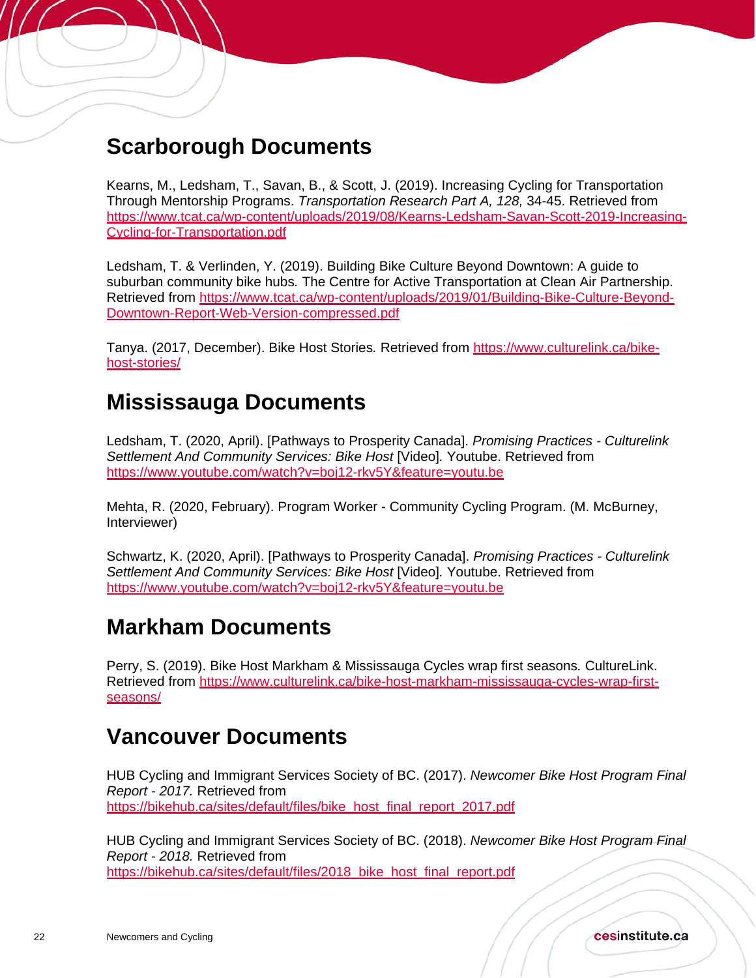## <span id="page-21-0"></span>**Scarborough Documents**

Í

Kearns, M., Ledsham, T., Savan, B., & Scott, J. (2019). Increasing Cycling for Transportation Through Mentorship Programs. *Transportation Research Part A, 128,* 34-45. Retrieved from [https://www.tcat.ca/wp-content/uploads/2019/08/Kearns-Ledsham-Savan-Scott-2019-Increasing-](https://www.tcat.ca/wp-content/uploads/2019/08/Kearns-Ledsham-Savan-Scott-2019-Increasing-Cycling-for-Transportation.pdf)[Cycling-for-Transportation.pdf](https://www.tcat.ca/wp-content/uploads/2019/08/Kearns-Ledsham-Savan-Scott-2019-Increasing-Cycling-for-Transportation.pdf) 

Ledsham, T. & Verlinden, Y. (2019). Building Bike Culture Beyond Downtown: A guide to suburban community bike hubs*.* The Centre for Active Transportation at Clean Air Partnership. Retrieved from [https://www.tcat.ca/wp-content/uploads/2019/01/Building-Bike-Culture-Beyond-](https://www.tcat.ca/wp-content/uploads/2019/01/Building-Bike-Culture-Beyond-Downtown-Report-Web-Version-compressed.pdf)[Downtown-Report-Web-Version-compressed.pdf](https://www.tcat.ca/wp-content/uploads/2019/01/Building-Bike-Culture-Beyond-Downtown-Report-Web-Version-compressed.pdf)

Tanya. (2017, December). Bike Host Stories*.* Retrieved from [https://www.culturelink.ca/bike](https://www.culturelink.ca/bike-host-stories/)[host-stories/](https://www.culturelink.ca/bike-host-stories/)

## <span id="page-21-1"></span>**Mississauga Documents**

Ledsham, T. (2020, April). [Pathways to Prosperity Canada]. *Promising Practices - Culturelink Settlement And Community Services: Bike Host* [Video]*.* Youtube. Retrieved from <https://www.youtube.com/watch?v=boj12-rkv5Y&feature=youtu.be>

Mehta, R. (2020, February). Program Worker - Community Cycling Program. (M. McBurney, Interviewer)

Schwartz, K. (2020, April). [Pathways to Prosperity Canada]. *Promising Practices - Culturelink Settlement And Community Services: Bike Host* [Video]*.* Youtube. Retrieved from <https://www.youtube.com/watch?v=boj12-rkv5Y&feature=youtu.be>

### <span id="page-21-2"></span>**Markham Documents**

Perry, S. (2019). Bike Host Markham & Mississauga Cycles wrap first seasons*.* CultureLink. Retrieved from [https://www.culturelink.ca/bike-host-markham-mississauga-cycles-wrap-first](https://www.culturelink.ca/bike-host-markham-mississauga-cycles-wrap-first-seasons/)[seasons/](https://www.culturelink.ca/bike-host-markham-mississauga-cycles-wrap-first-seasons/) 

## <span id="page-21-3"></span>**Vancouver Documents**

HUB Cycling and Immigrant Services Society of BC. (2017). *Newcomer Bike Host Program Final Report - 2017.* Retrieved from https://bikehub.ca/sites/default/files/bike\_host\_final\_report\_2017.pdf

HUB Cycling and Immigrant Services Society of BC. (2018). *Newcomer Bike Host Program Final Report - 2018.* Retrieved from https://bikehub.ca/sites/default/files/2018\_bike\_host\_final\_report.pdf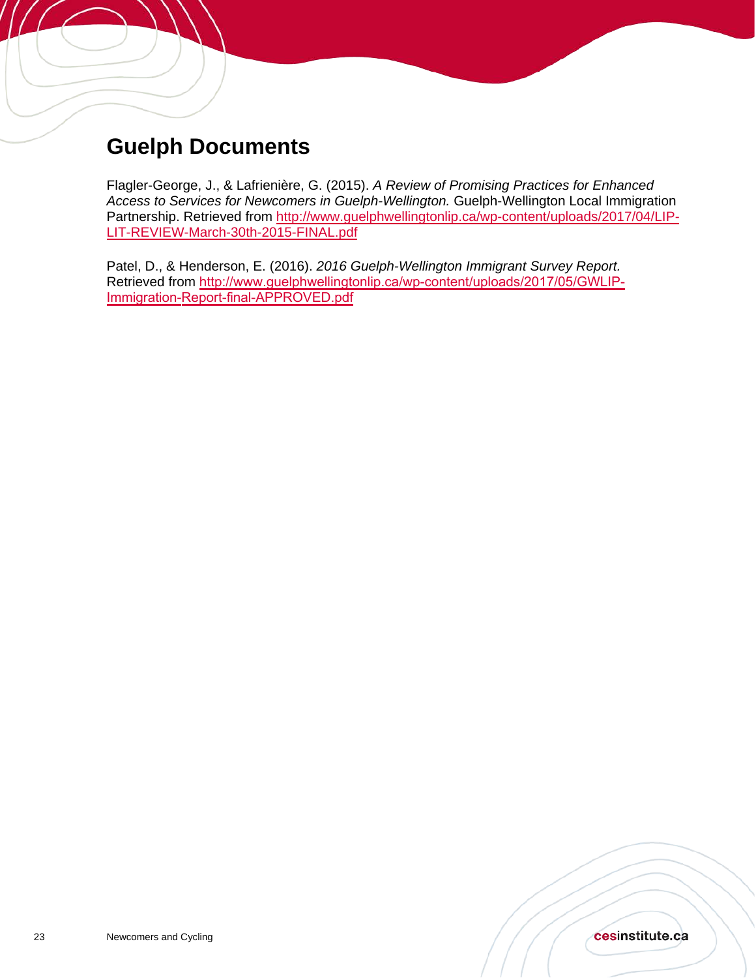<span id="page-22-0"></span>

Flagler-George, J., & Lafrienière, G. (2015). *A Review of Promising Practices for Enhanced Access to Services for Newcomers in Guelph-Wellington.* Guelph-Wellington Local Immigration Partnership. Retrieved from [http://www.guelphwellingtonlip.ca/wp-content/uploads/2017/04/LIP-](http://www.guelphwellingtonlip.ca/wp-content/uploads/2017/04/LIP-LIT-REVIEW-March-30th-2015-FINAL.pdf)[LIT-REVIEW-March-30th-2015-FINAL.pdf](http://www.guelphwellingtonlip.ca/wp-content/uploads/2017/04/LIP-LIT-REVIEW-March-30th-2015-FINAL.pdf) 

Patel, D., & Henderson, E. (2016). *2016 Guelph-Wellington Immigrant Survey Report.* Retrieved from [http://www.guelphwellingtonlip.ca/wp-content/uploads/2017/05/GWLIP-](http://www.guelphwellingtonlip.ca/wp-content/uploads/2017/05/GWLIP-Immigration-Report-final-APPROVED.pdf)[Immigration-Report-final-APPR](http://www.guelphwellingtonlip.ca/wp-content/uploads/2017/05/GWLIP-Immigration-Report-final-APPROVED.pdf)OVED.pdf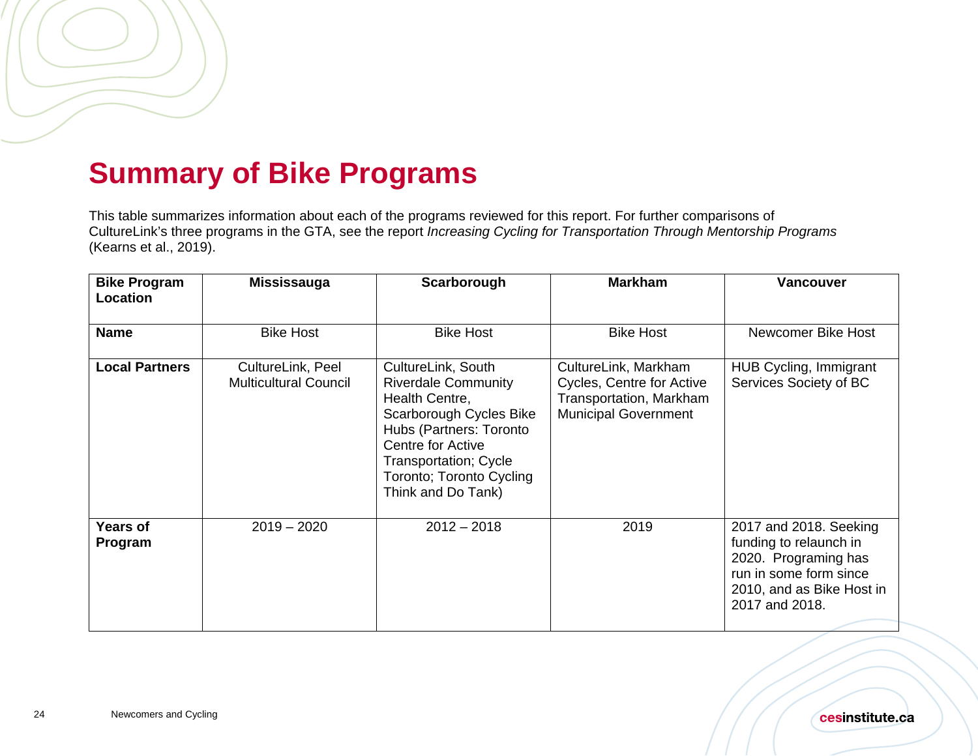## **Summary of Bike Programs**

This table summarizes information about each of the programs reviewed for this report. For further comparisons of CultureLink's three programs in the GTA, see the report *Increasing Cycling for Transportation Through Mentorship Programs* (Kearns et al., 2019).

<span id="page-23-0"></span>

| <b>Bike Program</b><br>Location | Mississauga                                       | Scarborough                                                                                                                                                                                                              | <b>Markham</b>                                                                                              | <b>Vancouver</b>                                                                                                                                  |
|---------------------------------|---------------------------------------------------|--------------------------------------------------------------------------------------------------------------------------------------------------------------------------------------------------------------------------|-------------------------------------------------------------------------------------------------------------|---------------------------------------------------------------------------------------------------------------------------------------------------|
| <b>Name</b>                     | <b>Bike Host</b>                                  | <b>Bike Host</b>                                                                                                                                                                                                         | <b>Bike Host</b>                                                                                            | Newcomer Bike Host                                                                                                                                |
| <b>Local Partners</b>           | CultureLink, Peel<br><b>Multicultural Council</b> | CultureLink, South<br><b>Riverdale Community</b><br>Health Centre,<br>Scarborough Cycles Bike<br>Hubs (Partners: Toronto<br>Centre for Active<br>Transportation; Cycle<br>Toronto; Toronto Cycling<br>Think and Do Tank) | CultureLink, Markham<br>Cycles, Centre for Active<br>Transportation, Markham<br><b>Municipal Government</b> | <b>HUB Cycling, Immigrant</b><br>Services Society of BC                                                                                           |
| <b>Years of</b><br>Program      | $2019 - 2020$                                     | $2012 - 2018$                                                                                                                                                                                                            | 2019                                                                                                        | 2017 and 2018. Seeking<br>funding to relaunch in<br>2020. Programing has<br>run in some form since<br>2010, and as Bike Host in<br>2017 and 2018. |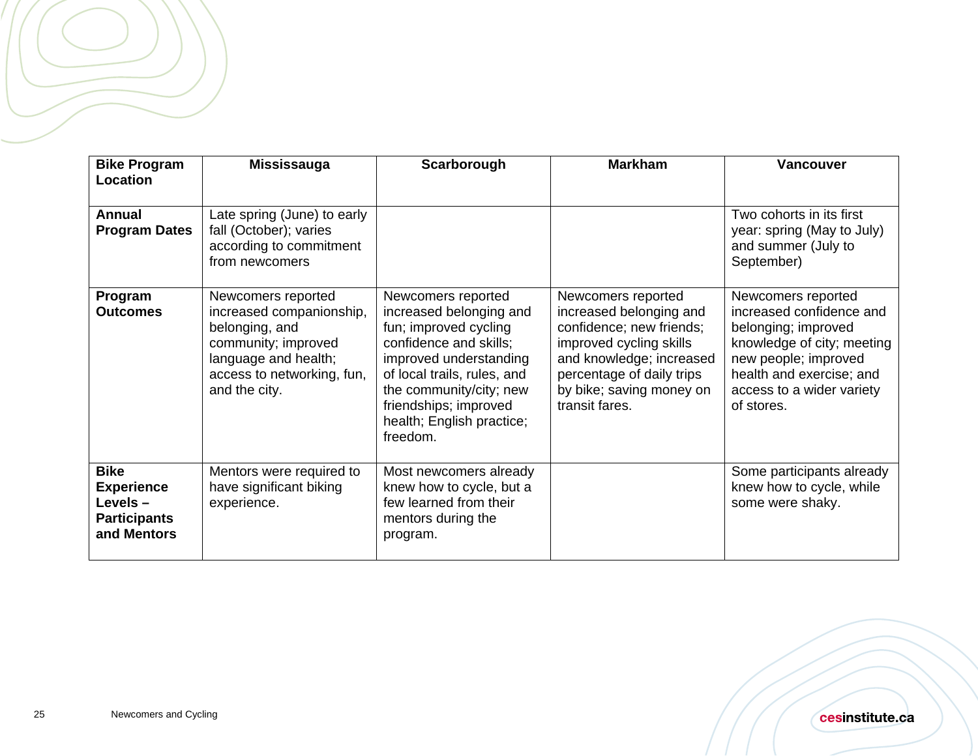| <b>Bike Program</b><br>Location                                                   | <b>Mississauga</b>                                                                                                                                             | Scarborough                                                                                                                                                                                                                                            | <b>Markham</b>                                                                                                                                                                                              | <b>Vancouver</b>                                                                                                                                                                                   |
|-----------------------------------------------------------------------------------|----------------------------------------------------------------------------------------------------------------------------------------------------------------|--------------------------------------------------------------------------------------------------------------------------------------------------------------------------------------------------------------------------------------------------------|-------------------------------------------------------------------------------------------------------------------------------------------------------------------------------------------------------------|----------------------------------------------------------------------------------------------------------------------------------------------------------------------------------------------------|
|                                                                                   |                                                                                                                                                                |                                                                                                                                                                                                                                                        |                                                                                                                                                                                                             |                                                                                                                                                                                                    |
| <b>Annual</b><br><b>Program Dates</b>                                             | Late spring (June) to early<br>fall (October); varies<br>according to commitment<br>from newcomers                                                             |                                                                                                                                                                                                                                                        |                                                                                                                                                                                                             | Two cohorts in its first<br>year: spring (May to July)<br>and summer (July to<br>September)                                                                                                        |
| Program<br><b>Outcomes</b>                                                        | Newcomers reported<br>increased companionship,<br>belonging, and<br>community; improved<br>language and health;<br>access to networking, fun,<br>and the city. | Newcomers reported<br>increased belonging and<br>fun; improved cycling<br>confidence and skills;<br>improved understanding<br>of local trails, rules, and<br>the community/city; new<br>friendships; improved<br>health; English practice;<br>freedom. | Newcomers reported<br>increased belonging and<br>confidence; new friends;<br>improved cycling skills<br>and knowledge; increased<br>percentage of daily trips<br>by bike; saving money on<br>transit fares. | Newcomers reported<br>increased confidence and<br>belonging; improved<br>knowledge of city; meeting<br>new people; improved<br>health and exercise; and<br>access to a wider variety<br>of stores. |
| <b>Bike</b><br><b>Experience</b><br>Levels-<br><b>Participants</b><br>and Mentors | Mentors were required to<br>have significant biking<br>experience.                                                                                             | Most newcomers already<br>knew how to cycle, but a<br>few learned from their<br>mentors during the<br>program.                                                                                                                                         |                                                                                                                                                                                                             | Some participants already<br>knew how to cycle, while<br>some were shaky.                                                                                                                          |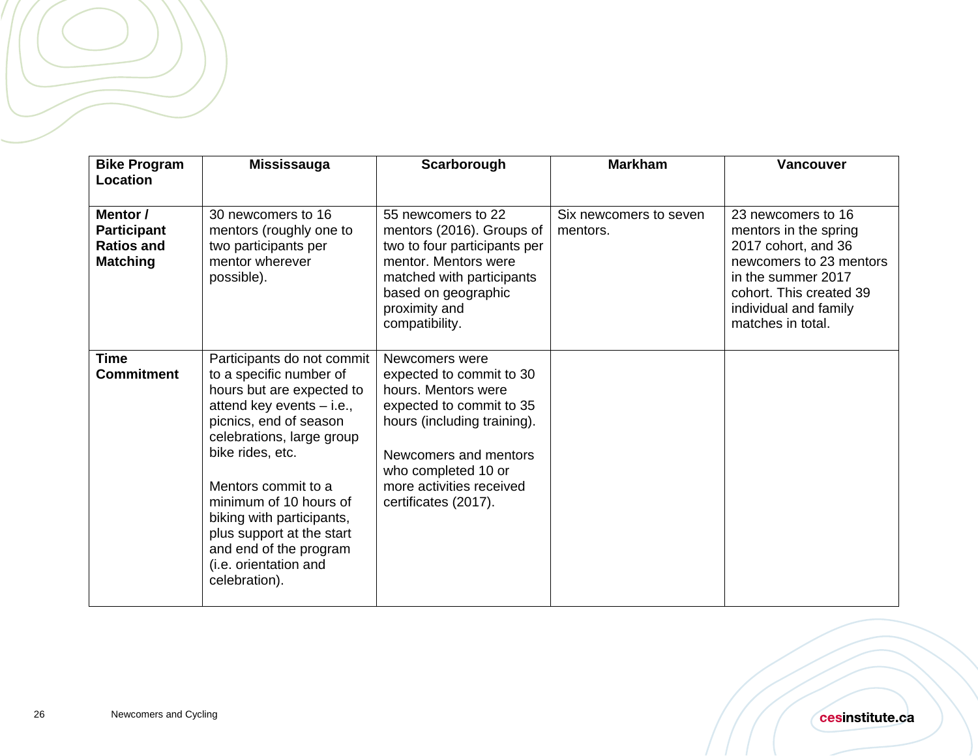| <b>Bike Program</b><br>Location                                        | <b>Mississauga</b>                                                                                                                                                                                                                                                                                                                                                        | Scarborough                                                                                                                                                                                                                      | <b>Markham</b>                     | <b>Vancouver</b>                                                                                                                                                                             |
|------------------------------------------------------------------------|---------------------------------------------------------------------------------------------------------------------------------------------------------------------------------------------------------------------------------------------------------------------------------------------------------------------------------------------------------------------------|----------------------------------------------------------------------------------------------------------------------------------------------------------------------------------------------------------------------------------|------------------------------------|----------------------------------------------------------------------------------------------------------------------------------------------------------------------------------------------|
|                                                                        |                                                                                                                                                                                                                                                                                                                                                                           |                                                                                                                                                                                                                                  |                                    |                                                                                                                                                                                              |
| Mentor /<br><b>Participant</b><br><b>Ratios and</b><br><b>Matching</b> | 30 newcomers to 16<br>mentors (roughly one to<br>two participants per<br>mentor wherever<br>possible).                                                                                                                                                                                                                                                                    | 55 newcomers to 22<br>mentors (2016). Groups of<br>two to four participants per<br>mentor. Mentors were<br>matched with participants<br>based on geographic<br>proximity and<br>compatibility.                                   | Six newcomers to seven<br>mentors. | 23 newcomers to 16<br>mentors in the spring<br>2017 cohort, and 36<br>newcomers to 23 mentors<br>in the summer 2017<br>cohort. This created 39<br>individual and family<br>matches in total. |
| <b>Time</b><br><b>Commitment</b>                                       | Participants do not commit<br>to a specific number of<br>hours but are expected to<br>attend key events - i.e.,<br>picnics, end of season<br>celebrations, large group<br>bike rides, etc.<br>Mentors commit to a<br>minimum of 10 hours of<br>biking with participants,<br>plus support at the start<br>and end of the program<br>(i.e. orientation and<br>celebration). | Newcomers were<br>expected to commit to 30<br>hours. Mentors were<br>expected to commit to 35<br>hours (including training).<br>Newcomers and mentors<br>who completed 10 or<br>more activities received<br>certificates (2017). |                                    |                                                                                                                                                                                              |